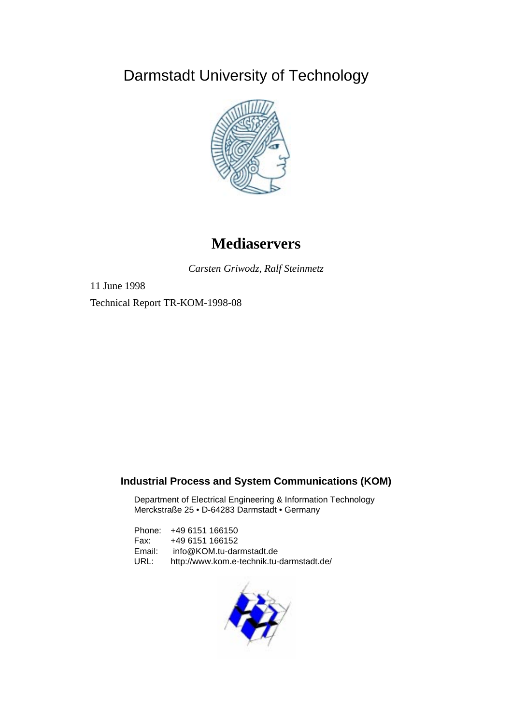Darmstadt University of Technology



# **Mediaservers**

*Carsten Griwodz, Ralf Steinmetz*

11 June 1998 Technical Report TR-KOM-1998-08

# **Industrial Process and System Communications (KOM)**

Department of Electrical Engineering & Information Technology Merckstraße 25 • D-64283 Darmstadt • Germany

Phone: +49 6151 166150 Fax: +49 6151 166152 Email: info@KOM.tu-darmstadt.de URL: http://www.kom.e-technik.tu-darmstadt.de/

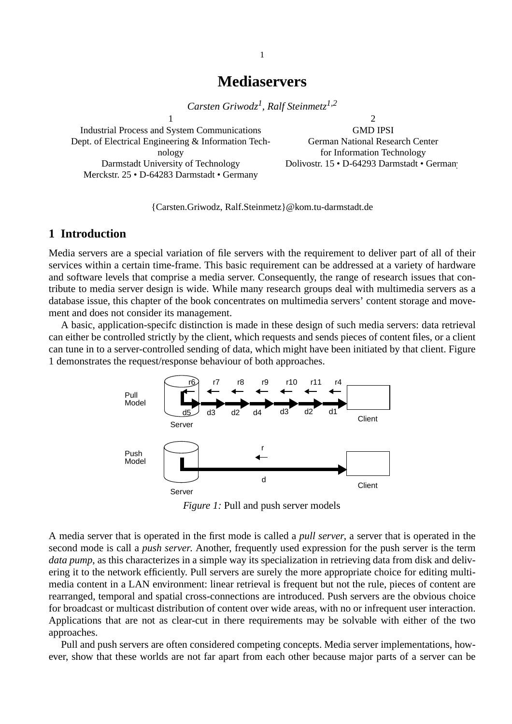# **Mediaservers**

*Carsten Griwodz<sup>1</sup> , Ralf Steinmetz1,2*

<span id="page-2-0"></span>1 Industrial Process and System Communications Dept. of Electrical Engineering & Information Technology Darmstadt University of Technology Merckstr. 25 • D-64283 Darmstadt • Germany

2

GMD IPSI German National Research Center for Information Technology Dolivostr. 15 • D-64293 Darmstadt • Germany

{Carsten.Griwodz, Ralf.Steinmetz}@kom.tu-darmstadt.de

## **1 Introduction**

Media servers are a special variation of file servers with the requirement to deliver part of all of their services within a certain time-frame. This basic requirement can be addressed at a variety of hardware and software levels that comprise a media server. Consequently, the range of research issues that contribute to media server design is wide. While many research groups deal with multimedia servers as a database issue, this chapter of the book concentrates on multimedia servers' content storage and movement and does not consider its management.

A basic, application-specifc distinction is made in these design of such media servers: data retrieval can either be controlled strictly by the client, which requests and sends pieces of content files, or a client can tune in to a server-controlled sending of data, which might have been initiated by that client. Figure 1 demonstrates the request/response behaviour of both approaches.



*Figure 1:* Pull and push server models

A media server that is operated in the first mode is called a *pull server*, a server that is operated in the second mode is call a *push server*. Another, frequently used expression for the push server is the term *data pump*, as this characterizes in a simple way its specialization in retrieving data from disk and delivering it to the network efficiently. Pull servers are surely the more appropriate choice for editing multimedia content in a LAN environment: linear retrieval is frequent but not the rule, pieces of content are rearranged, temporal and spatial cross-connections are introduced. Push servers are the obvious choice for broadcast or multicast distribution of content over wide areas, with no or infrequent user interaction. Applications that are not as clear-cut in there requirements may be solvable with either of the two approaches.

Pull and push servers are often considered competing concepts. Media server implementations, however, show that these worlds are not far apart from each other because major parts of a server can be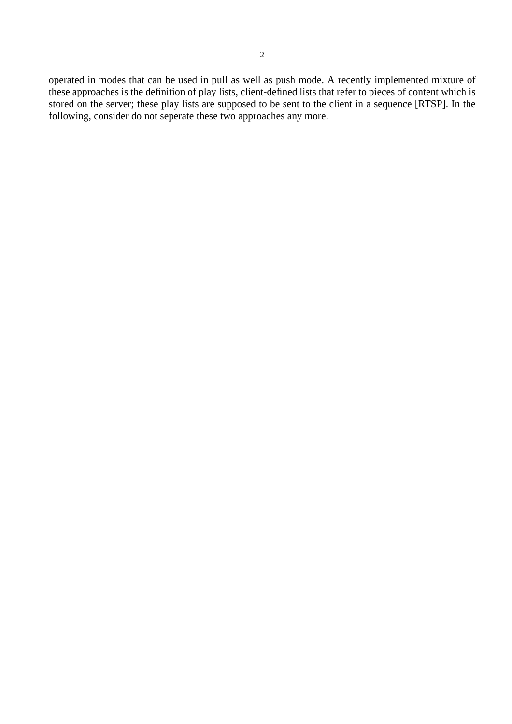operated in modes that can be used in pull as well as push mode. A recently implemented mixture of these approaches is the definition of play lists, client-defined lists that refer to pieces of content which is stored on the server; these play lists are supposed to be sent to the client in a sequence [\[RTSP\].](#page-42-0) In the following, consider do not seperate these two approaches any more.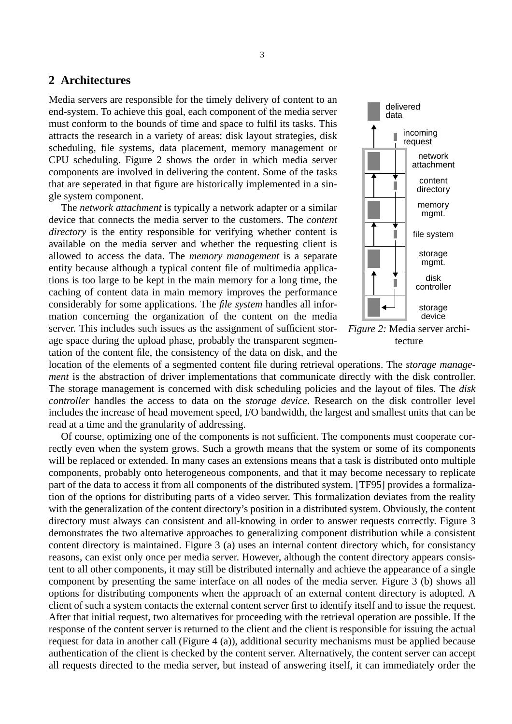#### <span id="page-4-0"></span>**2 Architectures**

Media servers are responsible for the timely delivery of content to an end-system. To achieve this goal, each component of the media server must conform to the bounds of time and space to fulfil its tasks. This attracts the research in a variety of areas: disk layout strategies, disk scheduling, file systems, data placement, memory management or CPU scheduling. Figure 2 shows the order in which media server components are involved in delivering the content. Some of the tasks that are seperated in that figure are historically implemented in a single system component.

The *network attachment* is typically a network adapter or a similar device that connects the media server to the customers. The *content directory* is the entity responsible for verifying whether content is available on the media server and whether the requesting client is allowed to access the data. The *memory management* is a separate entity because although a typical content file of multimedia applications is too large to be kept in the main memory for a long time, the caching of content data in main memory improves the performance considerably for some applications. The *file system* handles all information concerning the organization of the content on the media server. This includes such issues as the assignment of sufficient storage space during the upload phase, probably the transparent segmentation of the content file, the consistency of the data on disk, and the



location of the elements of a segmented content file during retrieval operations. The *storage management* is the abstraction of driver implementations that communicate directly with the disk controller. The storage management is concerned with disk scheduling policies and the layout of files. The *disk controller* handles the access to data on the *storage device*. Research on the disk controller level includes the increase of head movement speed, I/O bandwidth, the largest and smallest units that can be read at a time and the granularity of addressing.

Of course, optimizing one of the components is not sufficient. The components must cooperate correctly even when the system grows. Such a growth means that the system or some of its components will be replaced or extended. In many cases an extensions means that a task is distributed onto multiple components, probably onto heterogeneous components, and that it may become necessary to replicate part of the data to access it from all components of the distributed system. [\[TF95\]](#page-42-0) provides a formalization of the options for distributing parts of a video server. This formalization deviates from the reality with the generalization of the content directory's position in a distributed system. Obviously, the content directory must always can consistent and all-knowing in order to answer requests correctly. [Figure 3](#page-5-0) demonstrates the two alternative approaches to generalizing component distribution while a consistent content directory is maintained. [Figure 3](#page-5-0) (a) uses an internal content directory which, for consistancy reasons, can exist only once per media server. However, although the content directory appears consistent to all other components, it may still be distributed internally and achieve the appearance of a single component by presenting the same interface on all nodes of the media server. [Figure 3](#page-5-0) (b) shows all options for distributing components when the approach of an external content directory is adopted. A client of such a system contacts the external content server first to identify itself and to issue the request. After that initial request, two alternatives for proceeding with the retrieval operation are possible. If the response of the content server is returned to the client and the client is responsible for issuing the actual request for data in another call [\(Figure 4](#page-5-0) (a)), additional security mechanisms must be applied because authentication of the client is checked by the content server. Alternatively, the content server can accept all requests directed to the media server, but instead of answering itself, it can immediately order the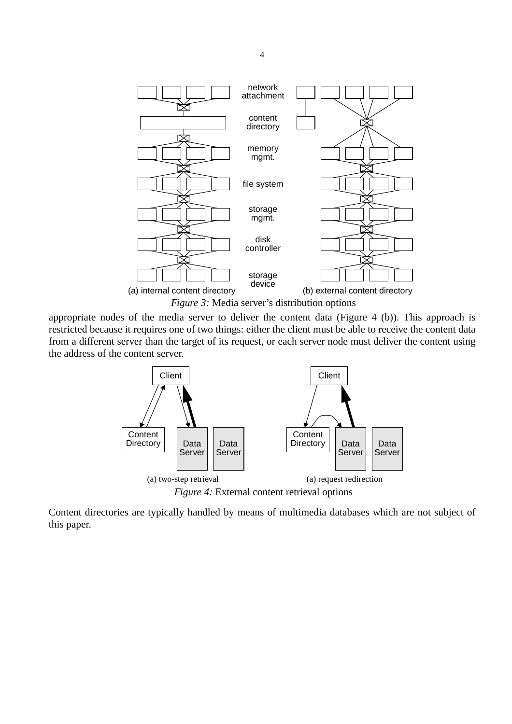<span id="page-5-0"></span>

*Figure 3:* Media server's distribution options

appropriate nodes of the media server to deliver the content data (Figure 4 (b)). This approach is restricted because it requires one of two things: either the client must be able to receive the content data from a different server than the target of its request, or each server node must deliver the content using the address of the content server.



Content directories are typically handled by means of multimedia databases which are not subject of this paper.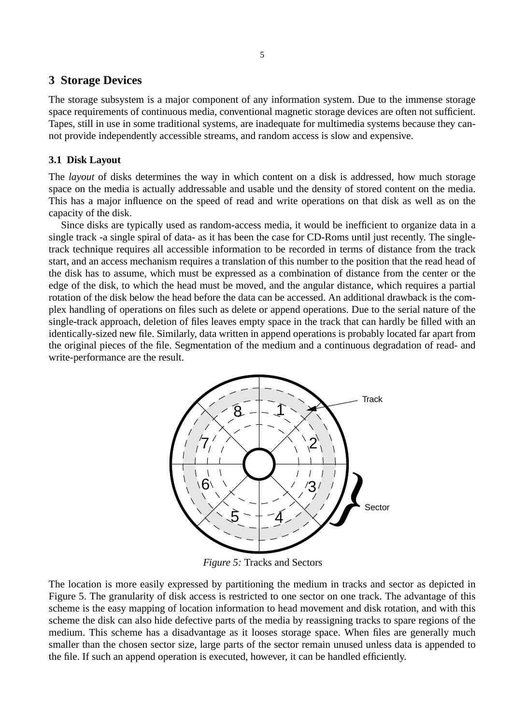# <span id="page-6-0"></span>**3 Storage Devices**

The storage subsystem is a major component of any information system. Due to the immense storage space requirements of continuous media, conventional magnetic storage devices are often not sufficient. Tapes, still in use in some traditional systems, are inadequate for multimedia systems because they cannot provide independently accessible streams, and random access is slow and expensive.

### **3.1 Disk Layout**

The *layout* of disks determines the way in which content on a disk is addressed, how much storage space on the media is actually addressable and usable und the density of stored content on the media. This has a major influence on the speed of read and write operations on that disk as well as on the capacity of the disk.

Since disks are typically used as random-access media, it would be inefficient to organize data in a single track -a single spiral of data- as it has been the case for CD-Roms until just recently. The singletrack technique requires all accessible information to be recorded in terms of distance from the track start, and an access mechanism requires a translation of this number to the position that the read head of the disk has to assume, which must be expressed as a combination of distance from the center or the edge of the disk, to which the head must be moved, and the angular distance, which requires a partial rotation of the disk below the head before the data can be accessed. An additional drawback is the complex handling of operations on files such as delete or append operations. Due to the serial nature of the single-track approach, deletion of files leaves empty space in the track that can hardly be filled with an identically-sized new file. Similarly, data written in append operations is probably located far apart from the original pieces of the file. Segmentation of the medium and a continuous degradation of read- and write-performance are the result.



*Figure 5:* Tracks and Sectors

The location is more easily expressed by partitioning the medium in tracks and sector as depicted in Figure 5. The granularity of disk access is restricted to one sector on one track. The advantage of this scheme is the easy mapping of location information to head movement and disk rotation, and with this scheme the disk can also hide defective parts of the media by reassigning tracks to spare regions of the medium. This scheme has a disadvantage as it looses storage space. When files are generally much smaller than the chosen sector size, large parts of the sector remain unused unless data is appended to the file. If such an append operation is executed, however, it can be handled efficiently.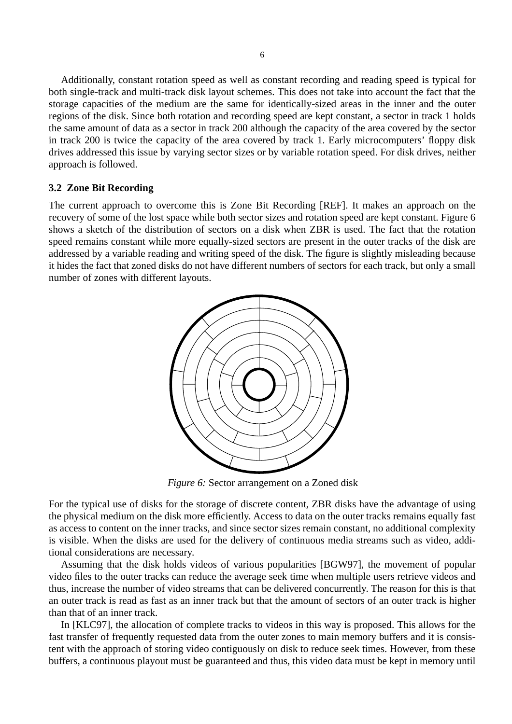<span id="page-7-0"></span>Additionally, constant rotation speed as well as constant recording and reading speed is typical for both single-track and multi-track disk layout schemes. This does not take into account the fact that the storage capacities of the medium are the same for identically-sized areas in the inner and the outer regions of the disk. Since both rotation and recording speed are kept constant, a sector in track 1 holds the same amount of data as a sector in track 200 although the capacity of the area covered by the sector in track 200 is twice the capacity of the area covered by track 1. Early microcomputers' floppy disk drives addressed this issue by varying sector sizes or by variable rotation speed. For disk drives, neither approach is followed.

### **3.2 Zone Bit Recording**

The current approach to overcome this is Zone Bit Recording [REF]. It makes an approach on the recovery of some of the lost space while both sector sizes and rotation speed are kept constant. Figure 6 shows a sketch of the distribution of sectors on a disk when ZBR is used. The fact that the rotation speed remains constant while more equally-sized sectors are present in the outer tracks of the disk are addressed by a variable reading and writing speed of the disk. The figure is slightly misleading because it hides the fact that zoned disks do not have different numbers of sectors for each track, but only a small number of zones with different layouts.



*Figure 6:* Sector arrangement on a Zoned disk

For the typical use of disks for the storage of discrete content, ZBR disks have the advantage of using the physical medium on the disk more efficiently. Access to data on the outer tracks remains equally fast as access to content on the inner tracks, and since sector sizes remain constant, no additional complexity is visible. When the disks are used for the delivery of continuous media streams such as video, additional considerations are necessary.

Assuming that the disk holds videos of various popularities [\[BGW97\],](#page-41-0) the movement of popular video files to the outer tracks can reduce the average seek time when multiple users retrieve videos and thus, increase the number of video streams that can be delivered concurrently. The reason for this is that an outer track is read as fast as an inner track but that the amount of sectors of an outer track is higher than that of an inner track.

In [\[KLC97\],](#page-42-0) the allocation of complete tracks to videos in this way is proposed. This allows for the fast transfer of frequently requested data from the outer zones to main memory buffers and it is consistent with the approach of storing video contiguously on disk to reduce seek times. However, from these buffers, a continuous playout must be guaranteed and thus, this video data must be kept in memory until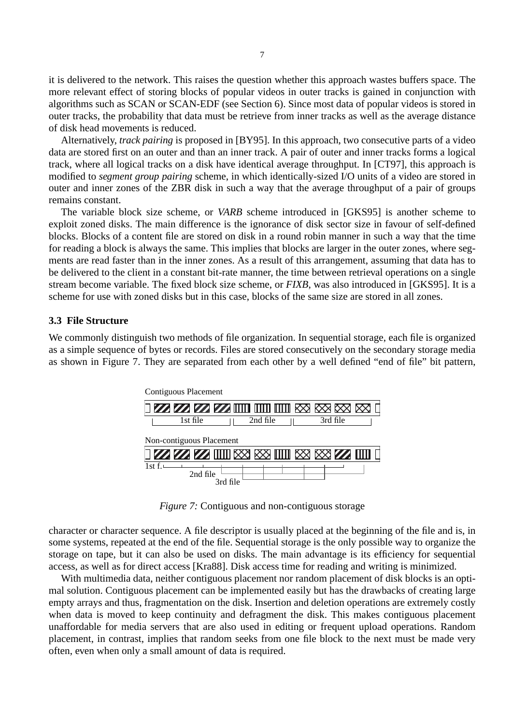<span id="page-8-0"></span>it is delivered to the network. This raises the question whether this approach wastes buffers space. The more relevant effect of storing blocks of popular videos in outer tracks is gained in conjunction with algorithms such as SCAN or SCAN-EDF (see [Section 6\)](#page-31-0). Since most data of popular videos is stored in outer tracks, the probability that data must be retrieve from inner tracks as well as the average distance of disk head movements is reduced.

Alternatively, *track pairing* is proposed in [\[BY95\].](#page-41-0) In this approach, two consecutive parts of a video data are stored first on an outer and than an inner track. A pair of outer and inner tracks forms a logical track, where all logical tracks on a disk have identical average throughput. In [\[CT97\]](#page-41-0), this approach is modified to *segment group pairing* scheme, in which identically-sized I/O units of a video are stored in outer and inner zones of the ZBR disk in such a way that the average throughput of a pair of groups remains constant.

The variable block size scheme, or *VARB* scheme introduced in [\[GKS95\]](#page-41-0) is another scheme to exploit zoned disks. The main difference is the ignorance of disk sector size in favour of self-defined blocks. Blocks of a content file are stored on disk in a round robin manner in such a way that the time for reading a block is always the same. This implies that blocks are larger in the outer zones, where segments are read faster than in the inner zones. As a result of this arrangement, assuming that data has to be delivered to the client in a constant bit-rate manner, the time between retrieval operations on a single stream become variable. The fixed block size scheme, or *FIXB*, was also introduced in [\[GKS95\]](#page-41-0). It is a scheme for use with zoned disks but in this case, blocks of the same size are stored in all zones.

#### **3.3 File Structure**

We commonly distinguish two methods of file organization. In sequential storage, each file is organized as a simple sequence of bytes or records. Files are stored consecutively on the secondary storage media as shown in Figure 7. They are separated from each other by a well defined "end of file" bit pattern,



*Figure 7:* Contiguous and non-contiguous storage

character or character sequence. A file descriptor is usually placed at the beginning of the file and is, in some systems, repeated at the end of the file. Sequential storage is the only possible way to organize the storage on tape, but it can also be used on disks. The main advantage is its efficiency for sequential access, as well as for direct access [[Kra88\]. D](#page-42-0)isk access time for reading and writing is minimized.

With multimedia data, neither contiguous placement nor random placement of disk blocks is an optimal solution. Contiguous placement can be implemented easily but has the drawbacks of creating large empty arrays and thus, fragmentation on the disk. Insertion and deletion operations are extremely costly when data is moved to keep continuity and defragment the disk. This makes contiguous placement unaffordable for media servers that are also used in editing or frequent upload operations. Random placement, in contrast, implies that random seeks from one file block to the next must be made very often, even when only a small amount of data is required.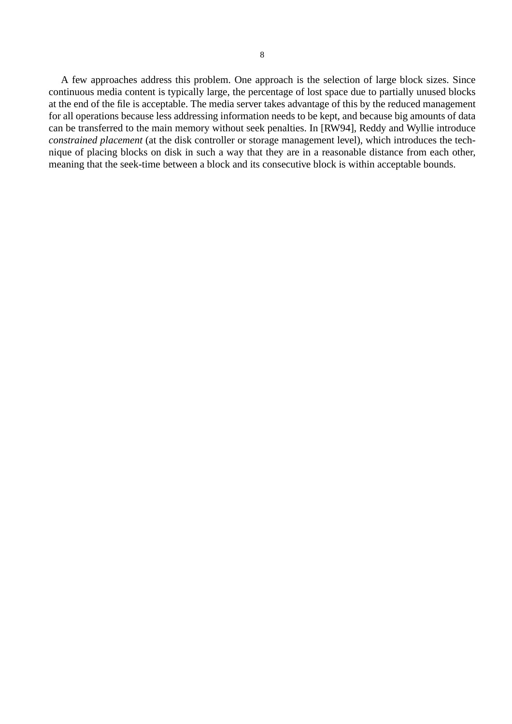A few approaches address this problem. One approach is the selection of large block sizes. Since continuous media content is typically large, the percentage of lost space due to partially unused blocks at the end of the file is acceptable. The media server takes advantage of this by the reduced management for all operations because less addressing information needs to be kept, and because big amounts of data can be transferred to the main memory without seek penalties. In [\[RW94\],](#page-42-0) Reddy and Wyllie introduce *constrained placement* (at the disk controller or storage management level), which introduces the technique of placing blocks on disk in such a way that they are in a reasonable distance from each other, meaning that the seek-time between a block and its consecutive block is within acceptable bounds.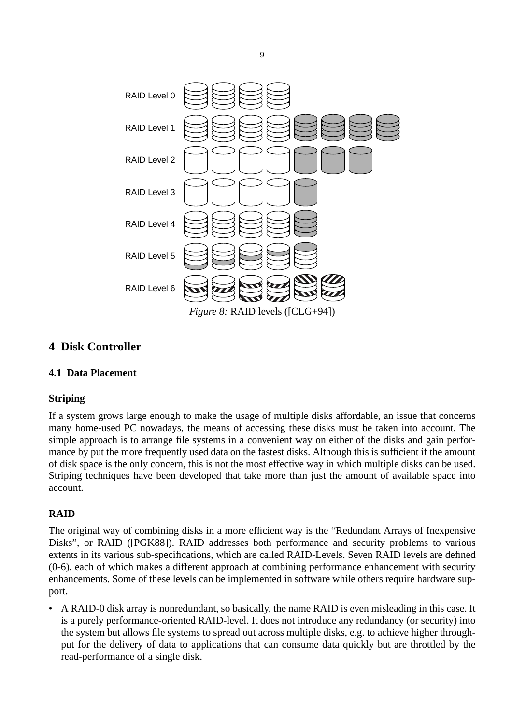<span id="page-10-0"></span>

# **4 Disk Controller**

# **4.1 Data Placement**

### **Striping**

If a system grows large enough to make the usage of multiple disks affordable, an issue that concerns many home-used PC nowadays, the means of accessing these disks must be taken into account. The simple approach is to arrange file systems in a convenient way on either of the disks and gain performance by put the more frequently used data on the fastest disks. Although this is sufficient if the amount of disk space is the only concern, this is not the most effective way in which multiple disks can be used. Striping techniques have been developed that take more than just the amount of available space into account.

# **RAID**

The original way of combining disks in a more efficient way is the "Redundant Arrays of Inexpensive Disks", or RAID ([\[PGK88\]\)](#page-42-0). RAID addresses both performance and security problems to various extents in its various sub-specifications, which are called RAID-Levels. Seven RAID levels are defined (0-6), each of which makes a different approach at combining performance enhancement with security enhancements. Some of these levels can be implemented in software while others require hardware support.

• A RAID-0 disk array is nonredundant, so basically, the name RAID is even misleading in this case. It is a purely performance-oriented RAID-level. It does not introduce any redundancy (or security) into the system but allows file systems to spread out across multiple disks, e.g. to achieve higher throughput for the delivery of data to applications that can consume data quickly but are throttled by the read-performance of a single disk.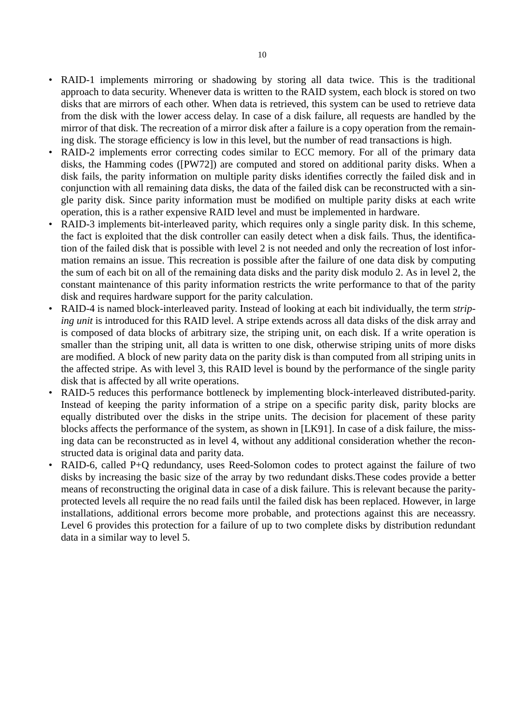- RAID-1 implements mirroring or shadowing by storing all data twice. This is the traditional approach to data security. Whenever data is written to the RAID system, each block is stored on two disks that are mirrors of each other. When data is retrieved, this system can be used to retrieve data from the disk with the lower access delay. In case of a disk failure, all requests are handled by the mirror of that disk. The recreation of a mirror disk after a failure is a copy operation from the remaining disk. The storage efficiency is low in this level, but the number of read transactions is high.
- RAID-2 implements error correcting codes similar to ECC memory. For all of the primary data disks, the Hamming codes ([\[PW72\]\)](#page-42-0) are computed and stored on additional parity disks. When a disk fails, the parity information on multiple parity disks identifies correctly the failed disk and in conjunction with all remaining data disks, the data of the failed disk can be reconstructed with a single parity disk. Since parity information must be modified on multiple parity disks at each write operation, this is a rather expensive RAID level and must be implemented in hardware.
- RAID-3 implements bit-interleaved parity, which requires only a single parity disk. In this scheme, the fact is exploited that the disk controller can easily detect when a disk fails. Thus, the identification of the failed disk that is possible with level 2 is not needed and only the recreation of lost information remains an issue. This recreation is possible after the failure of one data disk by computing the sum of each bit on all of the remaining data disks and the parity disk modulo 2. As in level 2, the constant maintenance of this parity information restricts the write performance to that of the parity disk and requires hardware support for the parity calculation.
- RAID-4 is named block-interleaved parity. Instead of looking at each bit individually, the term *striping unit* is introduced for this RAID level. A stripe extends across all data disks of the disk array and is composed of data blocks of arbitrary size, the striping unit, on each disk. If a write operation is smaller than the striping unit, all data is written to one disk, otherwise striping units of more disks are modified. A block of new parity data on the parity disk is than computed from all striping units in the affected stripe. As with level 3, this RAID level is bound by the performance of the single parity disk that is affected by all write operations.
- RAID-5 reduces this performance bottleneck by implementing block-interleaved distributed-parity. Instead of keeping the parity information of a stripe on a specific parity disk, parity blocks are equally distributed over the disks in the stripe units. The decision for placement of these parity blocks affects the performance of the system, as shown in [\[LK91\]](#page-42-0). In case of a disk failure, the missing data can be reconstructed as in level 4, without any additional consideration whether the reconstructed data is original data and parity data.
- RAID-6, called P+Q redundancy, uses Reed-Solomon codes to protect against the failure of two disks by increasing the basic size of the array by two redundant disks.These codes provide a better means of reconstructing the original data in case of a disk failure. This is relevant because the parityprotected levels all require the no read fails until the failed disk has been replaced. However, in large installations, additional errors become more probable, and protections against this are neceassry. Level 6 provides this protection for a failure of up to two complete disks by distribution redundant data in a similar way to level 5.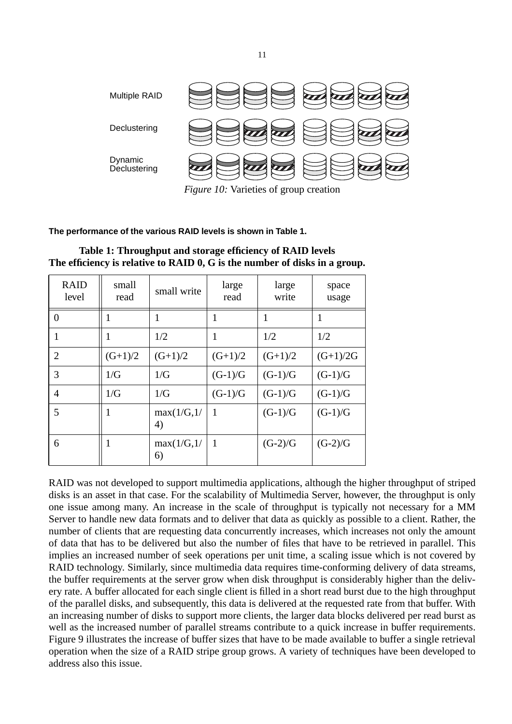

*Figure 10:* Varieties of group creation

**The performance of the various RAID levels is shown in Table 1.**

| <b>RAID</b><br>level | small<br>read | small write      | large<br>read | large<br>write | space<br>usage |
|----------------------|---------------|------------------|---------------|----------------|----------------|
| 0                    |               | 1                | 1             | 1              | 1              |
|                      |               | 1/2              | 1             | 1/2            | 1/2            |
| $\overline{2}$       | $(G+1)/2$     | $(G+1)/2$        | $(G+1)/2$     | $(G+1)/2$      | $(G+1)/2G$     |
| 3                    | 1/G           | 1/G              | $(G-1)/G$     | $(G-1)/G$      | $(G-1)/G$      |
| $\overline{4}$       | 1/G           | 1/G              | $(G-1)/G$     | $(G-1)/G$      | $(G-1)/G$      |
| 5                    | 1             | max(1/G,1/<br>4) | 1             | $(G-1)/G$      | $(G-1)/G$      |
| 6                    | 1             | max(1/G,1/<br>6) | 1             | $(G-2)/G$      | $(G-2)/G$      |

**Table 1: Throughput and storage efficiency of RAID levels The efficiency is relative to RAID 0, G is the number of disks in a group.**

RAID was not developed to support multimedia applications, although the higher throughput of striped disks is an asset in that case. For the scalability of Multimedia Server, however, the throughput is only one issue among many. An increase in the scale of throughput is typically not necessary for a MM Server to handle new data formats and to deliver that data as quickly as possible to a client. Rather, the number of clients that are requesting data concurrently increases, which increases not only the amount of data that has to be delivered but also the number of files that have to be retrieved in parallel. This implies an increased number of seek operations per unit time, a scaling issue which is not covered by RAID technology. Similarly, since multimedia data requires time-conforming delivery of data streams, the buffer requirements at the server grow when disk throughput is considerably higher than the delivery rate. A buffer allocated for each single client is filled in a short read burst due to the high throughput of the parallel disks, and subsequently, this data is delivered at the requested rate from that buffer. With an increasing number of disks to support more clients, the larger data blocks delivered per read burst as well as the increased number of parallel streams contribute to a quick increase in buffer requirements. [Figure 9](#page-13-0) illustrates the increase of buffer sizes that have to be made available to buffer a single retrieval operation when the size of a RAID stripe group grows. A variety of techniques have been developed to address also this issue.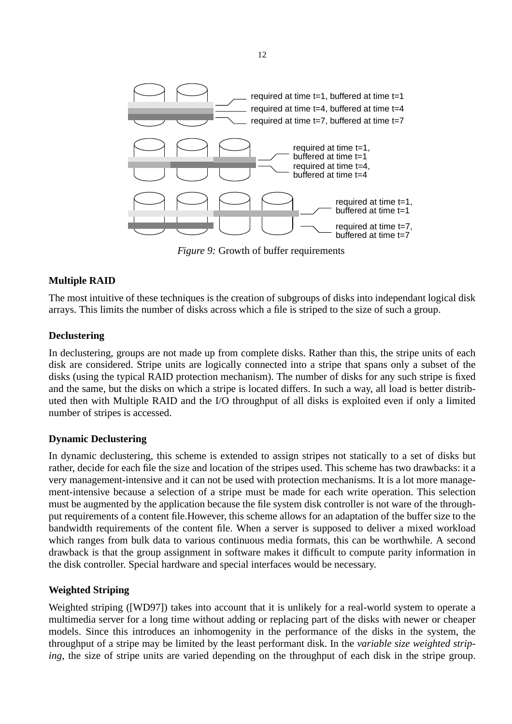<span id="page-13-0"></span>

*Figure 9:* Growth of buffer requirements

## **Multiple RAID**

The most intuitive of these techniques is the creation of subgroups of disks into independant logical disk arrays. This limits the number of disks across which a file is striped to the size of such a group.

## **Declustering**

In declustering, groups are not made up from complete disks. Rather than this, the stripe units of each disk are considered. Stripe units are logically connected into a stripe that spans only a subset of the disks (using the typical RAID protection mechanism). The number of disks for any such stripe is fixed and the same, but the disks on which a stripe is located differs. In such a way, all load is better distributed then with Multiple RAID and the I/O throughput of all disks is exploited even if only a limited number of stripes is accessed.

### **Dynamic Declustering**

In dynamic declustering, this scheme is extended to assign stripes not statically to a set of disks but rather, decide for each file the size and location of the stripes used. This scheme has two drawbacks: it a very management-intensive and it can not be used with protection mechanisms. It is a lot more management-intensive because a selection of a stripe must be made for each write operation. This selection must be augmented by the application because the file system disk controller is not ware of the throughput requirements of a content file.However, this scheme allows for an adaptation of the buffer size to the bandwidth requirements of the content file. When a server is supposed to deliver a mixed workload which ranges from bulk data to various continuous media formats, this can be worthwhile. A second drawback is that the group assignment in software makes it difficult to compute parity information in the disk controller. Special hardware and special interfaces would be necessary.

# **Weighted Striping**

Weighted striping ([\[WD97\]\)](#page-43-0) takes into account that it is unlikely for a real-world system to operate a multimedia server for a long time without adding or replacing part of the disks with newer or cheaper models. Since this introduces an inhomogenity in the performance of the disks in the system, the throughput of a stripe may be limited by the least performant disk. In the *variable size weighted striping*, the size of stripe units are varied depending on the throughput of each disk in the stripe group.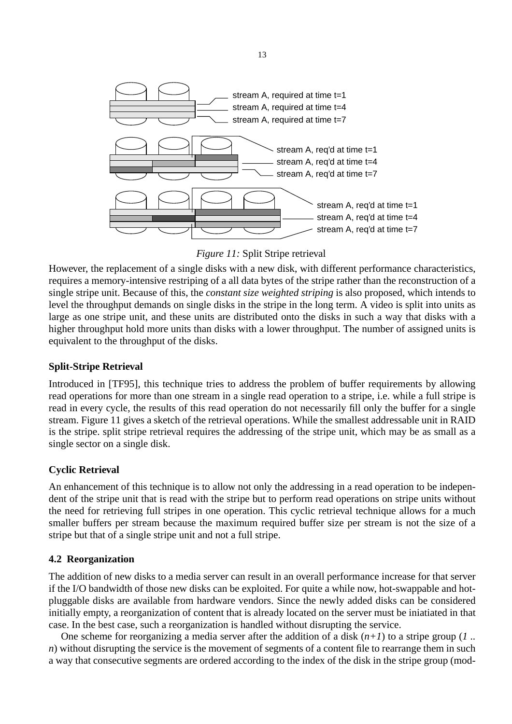<span id="page-14-0"></span>

*Figure 11:* Split Stripe retrieval

However, the replacement of a single disks with a new disk, with different performance characteristics, requires a memory-intensive restriping of a all data bytes of the stripe rather than the reconstruction of a single stripe unit. Because of this, the *constant size weighted striping* is also proposed, which intends to level the throughput demands on single disks in the stripe in the long term. A video is split into units as large as one stripe unit, and these units are distributed onto the disks in such a way that disks with a higher throughput hold more units than disks with a lower throughput. The number of assigned units is equivalent to the throughput of the disks.

### **Split-Stripe Retrieval**

Introduced in [\[TF95\],](#page-42-0) this technique tries to address the problem of buffer requirements by allowing read operations for more than one stream in a single read operation to a stripe, i.e. while a full stripe is read in every cycle, the results of this read operation do not necessarily fill only the buffer for a single stream. Figure 11 gives a sketch of the retrieval operations. While the smallest addressable unit in RAID is the stripe. split stripe retrieval requires the addressing of the stripe unit, which may be as small as a single sector on a single disk.

### **Cyclic Retrieval**

An enhancement of this technique is to allow not only the addressing in a read operation to be independent of the stripe unit that is read with the stripe but to perform read operations on stripe units without the need for retrieving full stripes in one operation. This cyclic retrieval technique allows for a much smaller buffers per stream because the maximum required buffer size per stream is not the size of a stripe but that of a single stripe unit and not a full stripe.

### **4.2 Reorganization**

The addition of new disks to a media server can result in an overall performance increase for that server if the I/O bandwidth of those new disks can be exploited. For quite a while now, hot-swappable and hotpluggable disks are available from hardware vendors. Since the newly added disks can be considered initially empty, a reorganization of content that is already located on the server must be iniatiated in that case. In the best case, such a reorganization is handled without disrupting the service.

One scheme for reorganizing a media server after the addition of a disk (*n+1*) to a stripe group (*1 .. n*) without disrupting the service is the movement of segments of a content file to rearrange them in such a way that consecutive segments are ordered according to the index of the disk in the stripe group (mod-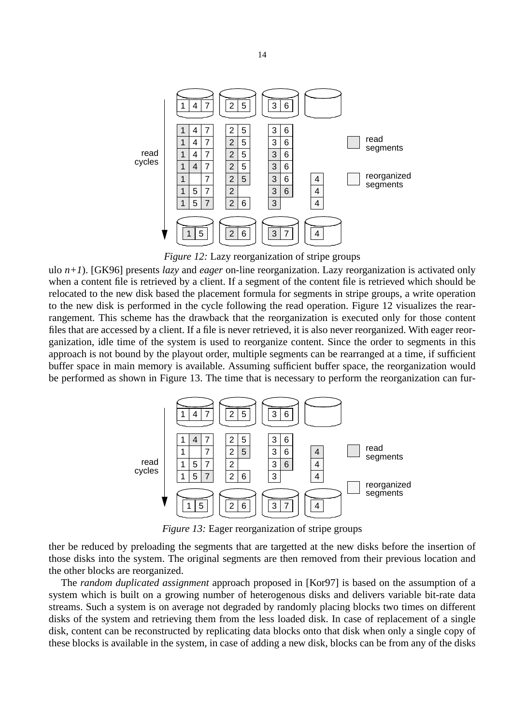

*Figure 12:* Lazy reorganization of stripe groups

ulo *n+1*). [\[GK96\]](#page-41-0) presents *lazy* and *eager* on-line reorganization. Lazy reorganization is activated only when a content file is retrieved by a client. If a segment of the content file is retrieved which should be relocated to the new disk based the placement formula for segments in stripe groups, a write operation to the new disk is performed in the cycle following the read operation. Figure 12 visualizes the rearrangement. This scheme has the drawback that the reorganization is executed only for those content files that are accessed by a client. If a file is never retrieved, it is also never reorganized. With eager reorganization, idle time of the system is used to reorganize content. Since the order to segments in this approach is not bound by the playout order, multiple segments can be rearranged at a time, if sufficient buffer space in main memory is available. Assuming sufficient buffer space, the reorganization would be performed as shown in Figure 13. The time that is necessary to perform the reorganization can fur-



*Figure 13:* Eager reorganization of stripe groups

ther be reduced by preloading the segments that are targetted at the new disks before the insertion of those disks into the system. The original segments are then removed from their previous location and the other blocks are reorganized.

The *random duplicated assignment* approach proposed in [\[Kor97\]](#page-42-0) is based on the assumption of a system which is built on a growing number of heterogenous disks and delivers variable bit-rate data streams. Such a system is on average not degraded by randomly placing blocks two times on different disks of the system and retrieving them from the less loaded disk. In case of replacement of a single disk, content can be reconstructed by replicating data blocks onto that disk when only a single copy of these blocks is available in the system, in case of adding a new disk, blocks can be from any of the disks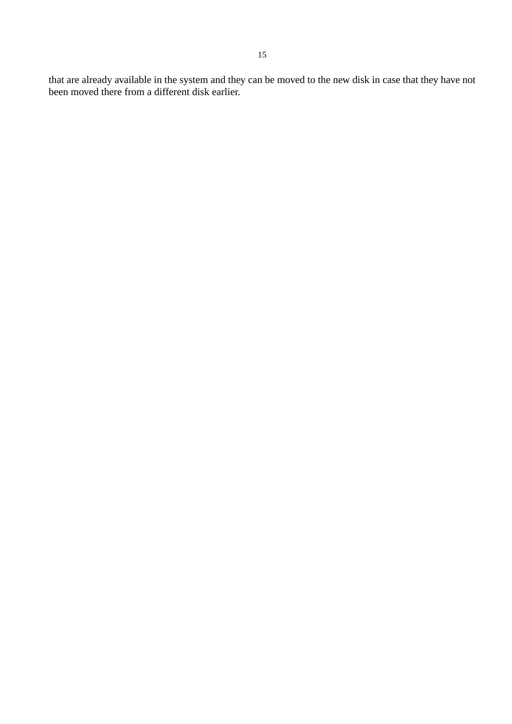that are already available in the system and they can be moved to the new disk in case that they have not been moved there from a different disk earlier.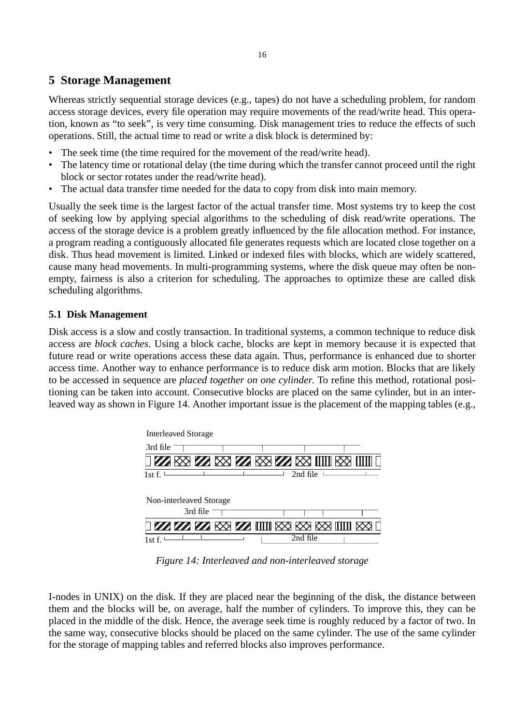# <span id="page-17-0"></span>**5 Storage Management**

Whereas strictly sequential storage devices (e.g., tapes) do not have a scheduling problem, for random access storage devices, every file operation may require movements of the read/write head. This operation, known as "to seek", is very time consuming. Disk management tries to reduce the effects of such operations. Still, the actual time to read or write a disk block is determined by:

- The seek time (the time required for the movement of the read/write head).
- The latency time or rotational delay (the time during which the transfer cannot proceed until the right block or sector rotates under the read/write head).
- The actual data transfer time needed for the data to copy from disk into main memory.

Usually the seek time is the largest factor of the actual transfer time. Most systems try to keep the cost of seeking low by applying special algorithms to the scheduling of disk read/write operations. The access of the storage device is a problem greatly influenced by the file allocation method. For instance, a program reading a contiguously allocated file generates requests which are located close together on a disk. Thus head movement is limited. Linked or indexed files with blocks, which are widely scattered, cause many head movements. In multi-programming systems, where the disk queue may often be nonempty, fairness is also a criterion for scheduling. The approaches to optimize these are called disk scheduling algorithms.

# **5.1 Disk Management**

Disk access is a slow and costly transaction. In traditional systems, a common technique to reduce disk access are *block caches*. Using a block cache, blocks are kept in memory because it is expected that future read or write operations access these data again. Thus, performance is enhanced due to shorter access time. Another way to enhance performance is to reduce disk arm motion. Blocks that are likely to be accessed in sequence are *placed together on one cylinder*. To refine this method, rotational positioning can be taken into account. Consecutive blocks are placed on the same cylinder, but in an interleaved way as shown in Figure 14. Another important issue is the placement of the mapping tables (e.g.,



*Figure 14: Interleaved and non-interleaved storage*

I-nodes in UNIX) on the disk. If they are placed near the beginning of the disk, the distance between them and the blocks will be, on average, half the number of cylinders. To improve this, they can be placed in the middle of the disk. Hence, the average seek time is roughly reduced by a factor of two. In the same way, consecutive blocks should be placed on the same cylinder. The use of the same cylinder for the storage of mapping tables and referred blocks also improves performance.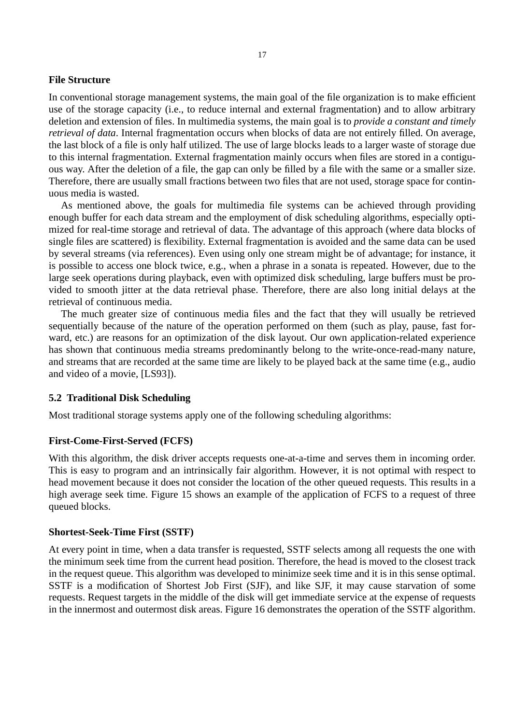#### <span id="page-18-0"></span>**File Structure**

In conventional storage management systems, the main goal of the file organization is to make efficient use of the storage capacity (i.e., to reduce internal and external fragmentation) and to allow arbitrary deletion and extension of files. In multimedia systems, the main goal is to *provide a constant and timely retrieval of data*. Internal fragmentation occurs when blocks of data are not entirely filled. On average, the last block of a file is only half utilized. The use of large blocks leads to a larger waste of storage due to this internal fragmentation. External fragmentation mainly occurs when files are stored in a contiguous way. After the deletion of a file, the gap can only be filled by a file with the same or a smaller size. Therefore, there are usually small fractions between two files that are not used, storage space for continuous media is wasted.

As mentioned above, the goals for multimedia file systems can be achieved through providing enough buffer for each data stream and the employment of disk scheduling algorithms, especially optimized for real-time storage and retrieval of data. The advantage of this approach (where data blocks of single files are scattered) is flexibility. External fragmentation is avoided and the same data can be used by several streams (via references). Even using only one stream might be of advantage; for instance, it is possible to access one block twice, e.g., when a phrase in a sonata is repeated. However, due to the large seek operations during playback, even with optimized disk scheduling, large buffers must be provided to smooth jitter at the data retrieval phase. Therefore, there are also long initial delays at the retrieval of continuous media.

The much greater size of continuous media files and the fact that they will usually be retrieved sequentially because of the nature of the operation performed on them (such as play, pause, fast forward, etc.) are reasons for an optimization of the disk layout. Our own application-related experience has shown that continuous media streams predominantly belong to the write-once-read-many nature, and streams that are recorded at the same time are likely to be played back at the same time (e.g., audio and video of a movie, [\[LS93\]\)](#page-42-0).

#### **5.2 Traditional Disk Scheduling**

Most traditional storage systems apply one of the following scheduling algorithms:

#### **First-Come-First-Served (FCFS)**

With this algorithm, the disk driver accepts requests one-at-a-time and serves them in incoming order. This is easy to program and an intrinsically fair algorithm. However, it is not optimal with respect to head movement because it does not consider the location of the other queued requests. This results in a high average seek time. [Figure 15](#page-19-0) shows an example of the application of FCFS to a request of three queued blocks.

#### **Shortest-Seek-Time First (SSTF)**

At every point in time, when a data transfer is requested, SSTF selects among all requests the one with the minimum seek time from the current head position. Therefore, the head is moved to the closest track in the request queue. This algorithm was developed to minimize seek time and it is in this sense optimal. SSTF is a modification of Shortest Job First (SJF), and like SJF, it may cause starvation of some requests. Request targets in the middle of the disk will get immediate service at the expense of requests in the innermost and outermost disk areas. [Figure 16](#page-19-0) demonstrates the operation of the SSTF algorithm.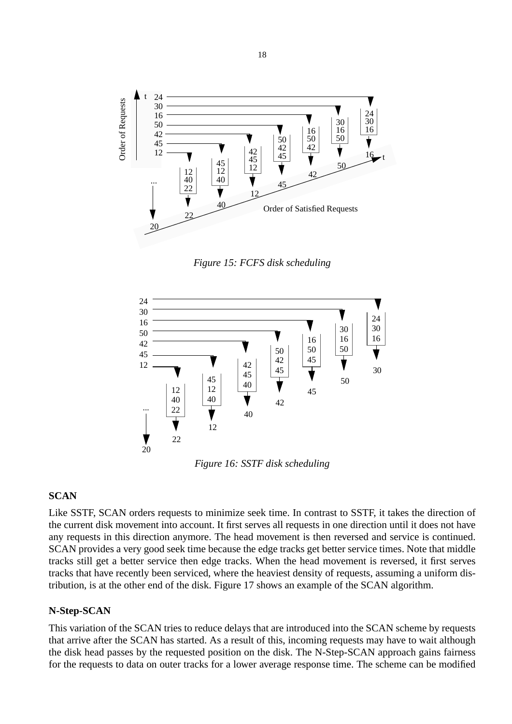<span id="page-19-0"></span>

*Figure 15: FCFS disk scheduling*



*Figure 16: SSTF disk scheduling*

### **SCAN**

Like SSTF, SCAN orders requests to minimize seek time. In contrast to SSTF, it takes the direction of the current disk movement into account. It first serves all requests in one direction until it does not have any requests in this direction anymore. The head movement is then reversed and service is continued. SCAN provides a very good seek time because the edge tracks get better service times. Note that middle tracks still get a better service then edge tracks. When the head movement is reversed, it first serves tracks that have recently been serviced, where the heaviest density of requests, assuming a uniform distribution, is at the other end of the disk. F[igure 17 sh](#page-20-0)ows an example of the SCAN algorithm.

### **N-Step-SCAN**

This variation of the SCAN tries to reduce delays that are introduced into the SCAN scheme by requests that arrive after the SCAN has started. As a result of this, incoming requests may have to wait although the disk head passes by the requested position on the disk. The N-Step-SCAN approach gains fairness for the requests to data on outer tracks for a lower average response time. The scheme can be modified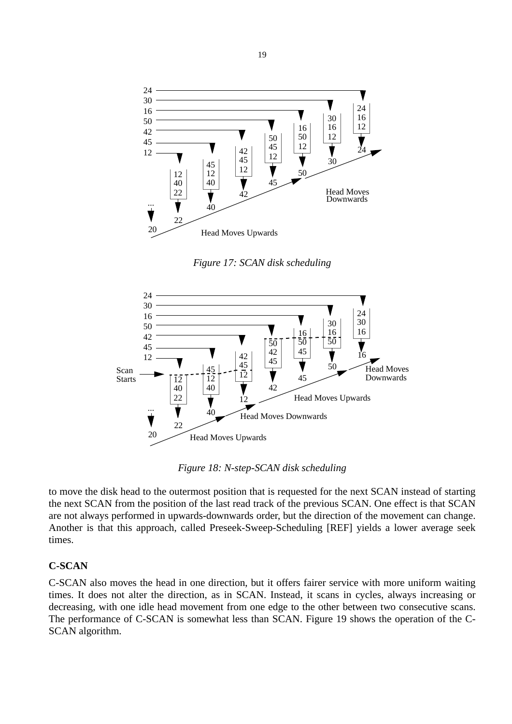<span id="page-20-0"></span>

*Figure 17: SCAN disk scheduling*



*Figure 18: N-step-SCAN disk scheduling*

to move the disk head to the outermost position that is requested for the next SCAN instead of starting the next SCAN from the position of the last read track of the previous SCAN. One effect is that SCAN are not always performed in upwards-downwards order, but the direction of the movement can change. Another is that this approach, called Preseek-Sweep-Scheduling [REF] yields a lower average seek times.

# **C-SCAN**

C-SCAN also moves the head in one direction, but it offers fairer service with more uniform waiting times. It does not alter the direction, as in SCAN. Instead, it scans in cycles, always increasing or decreasing, with one idle head movement from one edge to the other between two consecutive scans. The performance of C-SCAN is somewhat less than SCAN. [Figure 19](#page-21-0) shows the operation of the C-SCAN algorithm.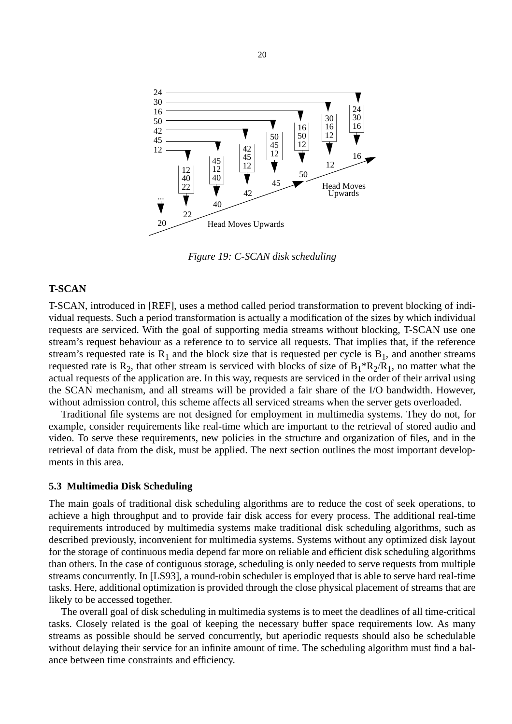<span id="page-21-0"></span>

*Figure 19: C-SCAN disk scheduling*

#### **T-SCAN**

T-SCAN, introduced in [REF], uses a method called period transformation to prevent blocking of individual requests. Such a period transformation is actually a modification of the sizes by which individual requests are serviced. With the goal of supporting media streams without blocking, T-SCAN use one stream's request behaviour as a reference to to service all requests. That implies that, if the reference stream's requested rate is  $R_1$  and the block size that is requested per cycle is  $B_1$ , and another streams requested rate is R<sub>2</sub>, that other stream is serviced with blocks of size of  $B_1*R_2/R_1$ , no matter what the actual requests of the application are. In this way, requests are serviced in the order of their arrival using the SCAN mechanism, and all streams will be provided a fair share of the I/O bandwidth. However, without admission control, this scheme affects all serviced streams when the server gets overloaded.

Traditional file systems are not designed for employment in multimedia systems. They do not, for example, consider requirements like real-time which are important to the retrieval of stored audio and video. To serve these requirements, new policies in the structure and organization of files, and in the retrieval of data from the disk, must be applied. The next section outlines the most important developments in this area.

#### **5.3 Multimedia Disk Scheduling**

The main goals of traditional disk scheduling algorithms are to reduce the cost of seek operations, to achieve a high throughput and to provide fair disk access for every process. The additional real-time requirements introduced by multimedia systems make traditional disk scheduling algorithms, such as described previously, inconvenient for multimedia systems. Systems without any optimized disk layout for the storage of continuous media depend far more on reliable and efficient disk scheduling algorithms than others. In the case of contiguous storage, scheduling is only needed to serve requests from multiple streams concurrently. In [\[LS93\]](#page-42-0), a round-robin scheduler is employed that is able to serve hard real-time tasks. Here, additional optimization is provided through the close physical placement of streams that are likely to be accessed together.

The overall goal of disk scheduling in multimedia systems is to meet the deadlines of all time-critical tasks. Closely related is the goal of keeping the necessary buffer space requirements low. As many streams as possible should be served concurrently, but aperiodic requests should also be schedulable without delaying their service for an infinite amount of time. The scheduling algorithm must find a balance between time constraints and efficiency.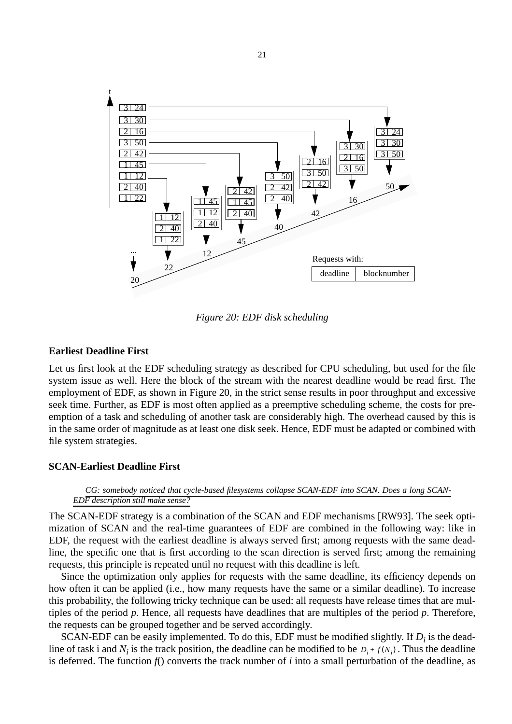

*Figure 20: EDF disk scheduling*

#### **Earliest Deadline First**

Let us first look at the EDF scheduling strategy as described for CPU scheduling, but used for the file system issue as well. Here the block of the stream with the nearest deadline would be read first. The employment of EDF, as shown in Figure 20, in the strict sense results in poor throughput and excessive seek time. Further, as EDF is most often applied as a preemptive scheduling scheme, the costs for preemption of a task and scheduling of another task are considerably high. The overhead caused by this is in the same order of magnitude as at least one disk seek. Hence, EDF must be adapted or combined with file system strategies.

#### **SCAN-Earliest Deadline First**

#### *CG: somebody noticed that cycle-based filesystems collapse SCAN-EDF into SCAN. Does a long SCAN-EDF description still make sense?*

The SCAN-EDF strategy is a combination of the SCAN and EDF mechanisms [\[RW93\]](#page-42-0). The seek optimization of SCAN and the real-time guarantees of EDF are combined in the following way: like in EDF, the request with the earliest deadline is always served first; among requests with the same deadline, the specific one that is first according to the scan direction is served first; among the remaining requests, this principle is repeated until no request with this deadline is left.

Since the optimization only applies for requests with the same deadline, its efficiency depends on how often it can be applied (i.e., how many requests have the same or a similar deadline). To increase this probability, the following tricky technique can be used: all requests have release times that are multiples of the period *p*. Hence, all requests have deadlines that are multiples of the period *p*. Therefore, the requests can be grouped together and be served accordingly.

SCAN-EDF can be easily implemented. To do this, EDF must be modified slightly. If *Di* is the deadline of task i and  $N_i$  is the track position, the deadline can be modified to be  $D_i + f(N_i)$ . Thus the deadline is deferred. The function *f*() converts the track number of *i* into a small perturbation of the deadline, as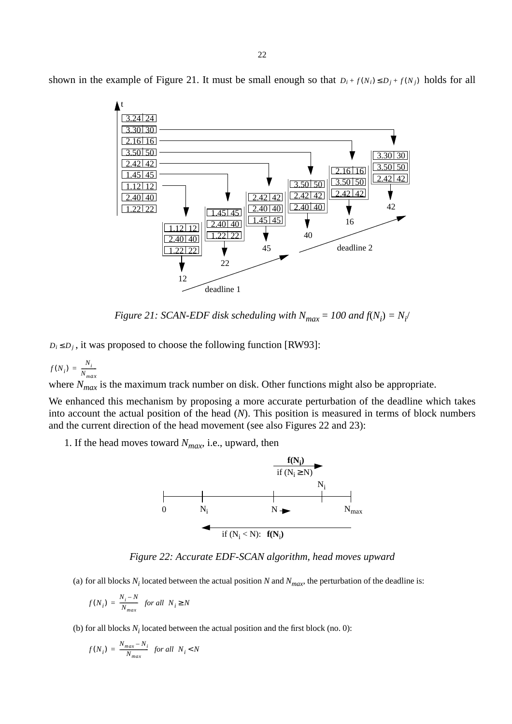

shown in the example of Figure 21. It must be small enough so that  $D_i + f(N_i) \le D_j + f(N_j)$  holds for all

*Figure 21: SCAN-EDF disk scheduling with*  $N_{max} = 100$  and  $f(N_i) = N_i/2$ 

 $D_i \leq D_j$ , it was proposed to choose the following function [[RW93\]:](#page-42-0)

 $f(N_i) = \frac{N_i}{N_i}$  $=\frac{V_l}{N_{max}}$ 

where *N<sub>max</sub>* is the maximum track number on disk. Other functions might also be appropriate.

We enhanced this mechanism by proposing a more accurate perturbation of the deadline which takes into account the actual position of the head (*N*). This position is measured in terms of block numbers and the current direction of the head movement (see also Figures 22 and 23)[:](#page-24-0)

1. If the head moves toward *Nmax*, i.e., upward, then



*Figure 22: Accurate EDF-SCAN algorithm, head moves upward*

(a) for all blocks  $N_i$  located between the actual position  $N$  and  $N_{max}$ , the perturbation of the deadline is:

$$
f(N_i) = \frac{N_i - N}{N_{max}} \text{ for all } N_i \ge N
$$

(b) for all blocks  $N_i$  located between the actual position and the first block (no. 0):

$$
f(N_i) = \frac{N_{max} - N_i}{N_{max}} \text{ for all } N_i < N
$$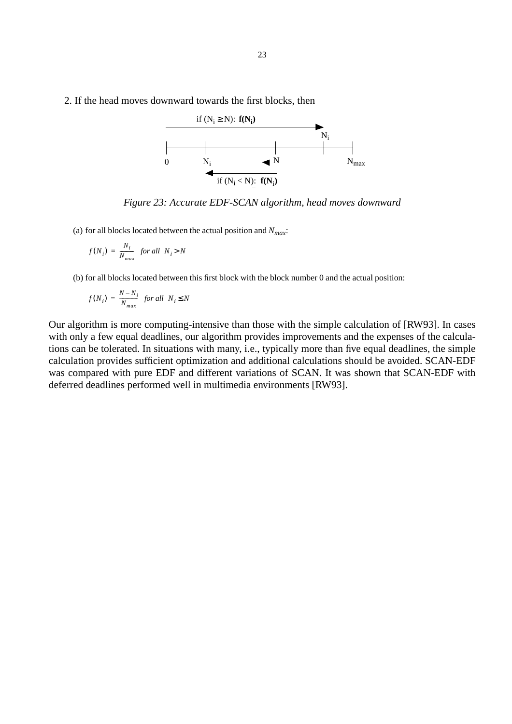<span id="page-24-0"></span>2. If the head moves downward towards the first blocks, then



*Figure 23: Accurate EDF-SCAN algorithm, head moves downward*

(a) for all blocks located between the actual position and  $N_{max}$ .

$$
f(N_i) = \frac{N_i}{N_{max}} \quad \text{for all} \quad N_i > N
$$

(b) for all blocks located between this first block with the block number 0 and the actual position:

$$
f(N_i) = \frac{N - N_i}{N_{max}} \text{ for all } N_i \le N
$$

Our algorithm is more computing-intensive than those with the simple calculation o[f \[RW93\]](#page-42-0). In cases with only a few equal deadlines, our algorithm provides improvements and the expenses of the calculations can be tolerated. In situations with many, i.e., typically more than five equal deadlines, the simple calculation provides sufficient optimization and additional calculations should be avoided. SCAN-EDF was compared with pure EDF and different variations of SCAN. It was shown that SCAN-EDF with deferred deadlines performed well in multimedia environments [[RW93\].](#page-42-0)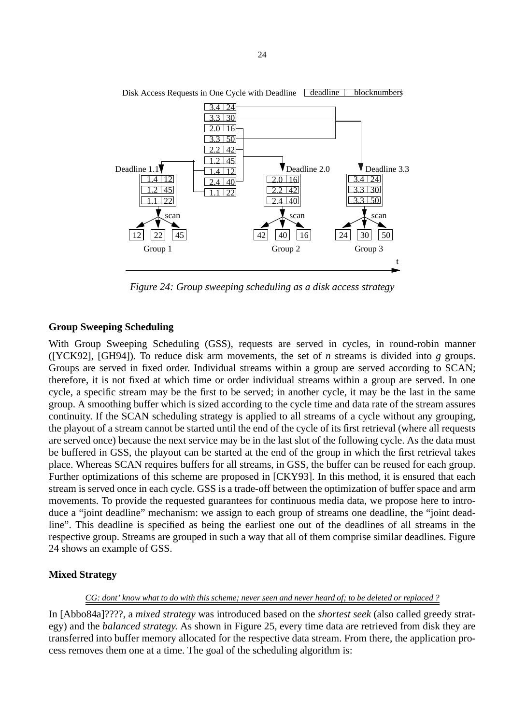

Disk Access Requests in One Cycle with Deadline deadline blocknumbers

*Figure 24: Group sweeping scheduling as a disk access strategy*

### **Group Sweeping Scheduling**

With Group Sweeping Scheduling (GSS), requests are served in cycles, in round-robin manner ( $[YCK92]$ ,  $[GH94]$ ). To reduce disk arm movements, the set of *n* streams is divided into *g* groups. Groups are served in fixed order. Individual streams within a group are served according to SCAN; therefore, it is not fixed at which time or order individual streams within a group are served. In one cycle, a specific stream may be the first to be served; in another cycle, it may be the last in the same group. A smoothing buffer which is sized according to the cycle time and data rate of the stream assures continuity. If the SCAN scheduling strategy is applied to all streams of a cycle without any grouping, the playout of a stream cannot be started until the end of the cycle of its first retrieval (where all requests are served once) because the next service may be in the last slot of the following cycle. As the data must be buffered in GSS, the playout can be started at the end of the group in which the first retrieval takes place. Whereas SCAN requires buffers for all streams, in GSS, the buffer can be reused for each group. Further optimizations of this scheme are proposed in [\[CKY93\].](#page-41-0) In this method, it is ensured that each stream is served once in each cycle. GSS is a trade-off between the optimization of buffer space and arm movements. To provide the requested guarantees for continuous media data, we propose here to introduce a "joint deadline" mechanism: we assign to each group of streams one deadline, the "joint deadline". This deadline is specified as being the earliest one out of the deadlines of all streams in the respective group. Streams are grouped in such a way that all of them comprise similar deadlines. Figure 24 shows an example of GSS.

# **Mixed Strategy**

### CG: dont' know what to do with this scheme; never seen and never heard of; to be deleted or replaced?

In [Abbo84a]????, a *mixed strategy* was introduced based on the *shortest seek* (also called greedy strategy) and the *balanced strategy*. As shown in [Figure 25](#page-26-0), every time data are retrieved from disk they are transferred into buffer memory allocated for the respective data stream. From there, the application process removes them one at a time. The goal of the scheduling algorithm is: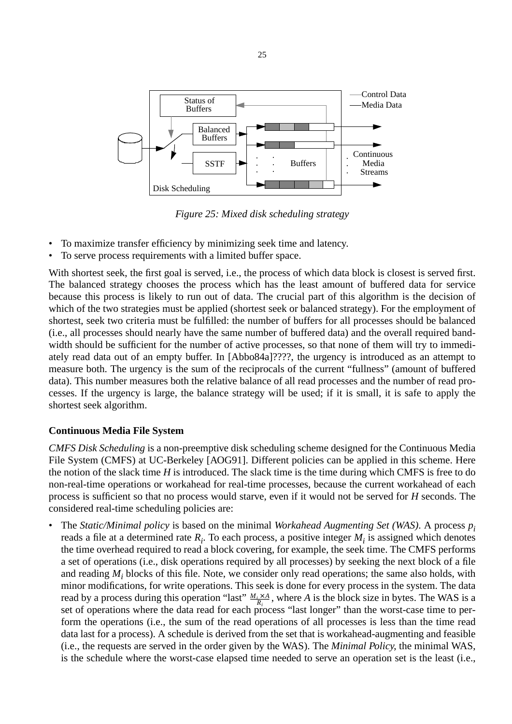<span id="page-26-0"></span>

*Figure 25: Mixed disk scheduling strategy*

- To maximize transfer efficiency by minimizing seek time and latency.
- To serve process requirements with a limited buffer space.

With shortest seek, the first goal is served, i.e., the process of which data block is closest is served first. The balanced strategy chooses the process which has the least amount of buffered data for service because this process is likely to run out of data. The crucial part of this algorithm is the decision of which of the two strategies must be applied (shortest seek or balanced strategy). For the employment of shortest, seek two criteria must be fulfilled: the number of buffers for all processes should be balanced (i.e., all processes should nearly have the same number of buffered data) and the overall required bandwidth should be sufficient for the number of active processes, so that none of them will try to immediately read data out of an empty buffer. In [Abbo84a]????, the urgency is introduced as an attempt to measure both. The urgency is the sum of the reciprocals of the current "fullness" (amount of buffered data). This number measures both the relative balance of all read processes and the number of read processes. If the urgency is large, the balance strategy will be used; if it is small, it is safe to apply the shortest seek algorithm.

# **Continuous Media File System**

*CMFS Disk Scheduling* is a non-preemptive disk scheduling scheme designed for the Continuous Media File System (CMFS) at UC-Berkeley [\[AOG91\]. D](#page-41-0)ifferent policies can be applied in this scheme. Here the notion of the slack time *H* is introduced. The slack time is the time during which CMFS is free to do non-real-time operations or workahead for real-time processes, because the current workahead of each process is sufficient so that no process would starve, even if it would not be served for *H* seconds. The considered real-time scheduling policies are:

• The *Static/Minimal policy* is based on the minimal *Workahead Augmenting Set (WAS)*. A process *pi* reads a file at a determined rate  $R_i$ . To each process, a positive integer  $M_i$  is assigned which denotes the time overhead required to read a block covering, for example, the seek time. The CMFS performs a set of operations (i.e., disk operations required by all processes) by seeking the next block of a file and reading *Mi* blocks of this file. Note, we consider only read operations; the same also holds, with minor modifications, for write operations. This seek is done for every process in the system. The data read by a process during this operation "last"  $\frac{M_i \times A}{R_i}$ , where *A* is the block size in bytes. The WAS is a set of operations where the data read for each process "last longer" than the worst-case time to perform the operations (i.e., the sum of the read operations of all processes is less than the time read data last for a process). A schedule is derived from the set that is workahead-augmenting and feasible (i.e., the requests are served in the order given by the WAS). The *Minimal Policy*, the minimal WAS, is the schedule where the worst-case elapsed time needed to serve an operation set is the least (i.e.,  $\frac{M_i \times A}{R_i}$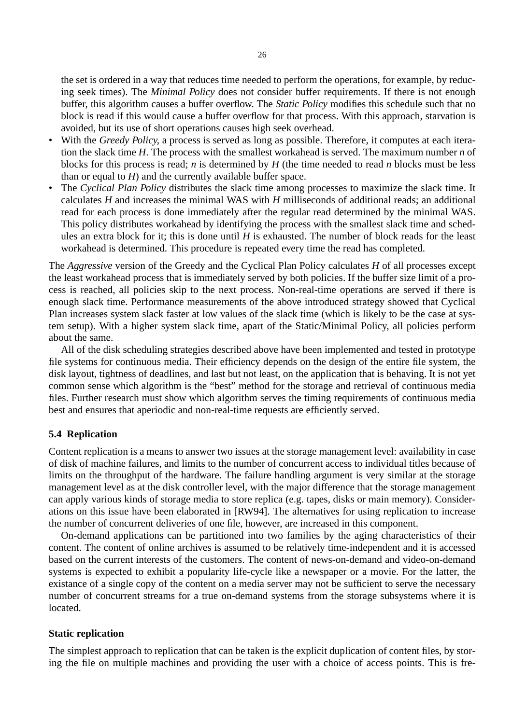<span id="page-27-0"></span>the set is ordered in a way that reduces time needed to perform the operations, for example, by reducing seek times). The *Minimal Policy* does not consider buffer requirements. If there is not enough buffer, this algorithm causes a buffer overflow. The *Static Policy* modifies this schedule such that no block is read if this would cause a buffer overflow for that process. With this approach, starvation is avoided, but its use of short operations causes high seek overhead.

- With the *Greedy Policy*, a process is served as long as possible. Therefore, it computes at each iteration the slack time *H*. The process with the smallest workahead is served. The maximum number *n* of blocks for this process is read; *n* is determined by *H* (the time needed to read *n* blocks must be less than or equal to *H*) and the currently available buffer space.
- The *Cyclical Plan Policy* distributes the slack time among processes to maximize the slack time. It calculates *H* and increases the minimal WAS with *H* milliseconds of additional reads; an additional read for each process is done immediately after the regular read determined by the minimal WAS. This policy distributes workahead by identifying the process with the smallest slack time and schedules an extra block for it; this is done until *H* is exhausted. The number of block reads for the least workahead is determined. This procedure is repeated every time the read has completed.

The *Aggressive* version of the Greedy and the Cyclical Plan Policy calculates *H* of all processes except the least workahead process that is immediately served by both policies. If the buffer size limit of a process is reached, all policies skip to the next process. Non-real-time operations are served if there is enough slack time. Performance measurements of the above introduced strategy showed that Cyclical Plan increases system slack faster at low values of the slack time (which is likely to be the case at system setup). With a higher system slack time, apart of the Static/Minimal Policy, all policies perform about the same.

All of the disk scheduling strategies described above have been implemented and tested in prototype file systems for continuous media. Their efficiency depends on the design of the entire file system, the disk layout, tightness of deadlines, and last but not least, on the application that is behaving. It is not yet common sense which algorithm is the "best" method for the storage and retrieval of continuous media files. Further research must show which algorithm serves the timing requirements of continuous media best and ensures that aperiodic and non-real-time requests are efficiently served.

#### **5.4 Replication**

Content replication is a means to answer two issues at the storage management level: availability in case of disk of machine failures, and limits to the number of concurrent access to individual titles because of limits on the throughput of the hardware. The failure handling argument is very similar at the storage management level as at the disk controller level, with the major difference that the storage management can apply various kinds of storage media to store replica (e.g. tapes, disks or main memory). Considerations on this issue have been elaborated in [\[RW94\].](#page-42-0) The alternatives for using replication to increase the number of concurrent deliveries of one file, however, are increased in this component.

On-demand applications can be partitioned into two families by the aging characteristics of their content. The content of online archives is assumed to be relatively time-independent and it is accessed based on the current interests of the customers. The content of news-on-demand and video-on-demand systems is expected to exhibit a popularity life-cycle like a newspaper or a movie. For the latter, the existance of a single copy of the content on a media server may not be sufficient to serve the necessary number of concurrent streams for a true on-demand systems from the storage subsystems where it is located.

#### **Static replication**

The simplest approach to replication that can be taken is the explicit duplication of content files, by storing the file on multiple machines and providing the user with a choice of access points. This is fre-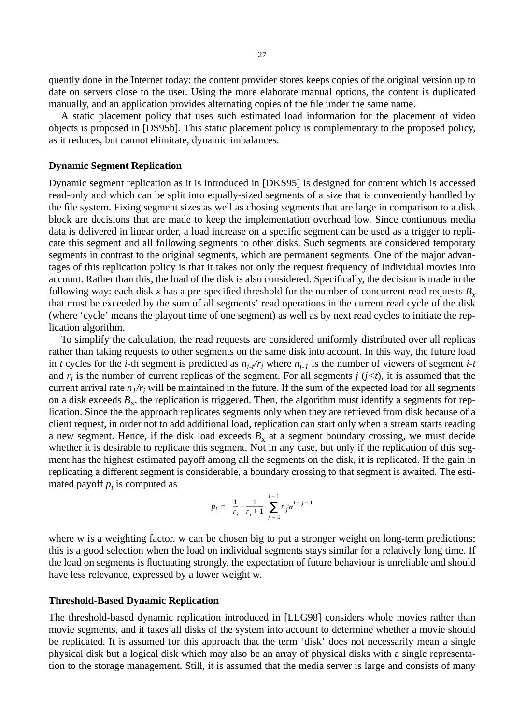quently done in the Internet today: the content provider stores keeps copies of the original version up to date on servers close to the user. Using the more elaborate manual options, the content is duplicated manually, and an application provides alternating copies of the file under the same name.

A static placement policy that uses such estimated load information for the placement of video objects is proposed in [\[DS95b\].](#page-41-0) This static placement policy is complementary to the proposed policy, as it reduces, but cannot elimitate, dynamic imbalances.

#### **Dynamic Segment Replication**

Dynamic segment replication as it is introduced in [\[DKS95\]](#page-41-0) is designed for content which is accessed read-only and which can be split into equally-sized segments of a size that is conveniently handled by the file system. Fixing segment sizes as well as chosing segments that are large in comparison to a disk block are decisions that are made to keep the implementation overhead low. Since contiunous media data is delivered in linear order, a load increase on a specific segment can be used as a trigger to replicate this segment and all following segments to other disks. Such segments are considered temporary segments in contrast to the original segments, which are permanent segments. One of the major advantages of this replication policy is that it takes not only the request frequency of individual movies into account. Rather than this, the load of the disk is also considered. Specifically, the decision is made in the following way: each disk x has a pre-specified threshold for the number of concurrent read requests  $B<sub>x</sub>$ that must be exceeded by the sum of all segments' read operations in the current read cycle of the disk (where 'cycle' means the playout time of one segment) as well as by next read cycles to initiate the replication algorithm.

To simplify the calculation, the read requests are considered uniformly distributed over all replicas rather than taking requests to other segments on the same disk into account. In this way, the future load in *t* cycles for the *i*-th segment is predicted as  $n_{i-1}/r_i$  where  $n_{i-1}$  is the number of viewers of segment *i-t* and  $r_i$  is the number of current replicas of the segment. For all segments  $j$  ( $j < t$ ), it is assumed that the current arrival rate  $n_1/r_i$  will be maintained in the future. If the sum of the expected load for all segments on a disk exceeds  $B_x$ , the replication is triggered. Then, the algorithm must identify a segments for replication. Since the the approach replicates segments only when they are retrieved from disk because of a client request, in order not to add additional load, replication can start only when a stream starts reading a new segment. Hence, if the disk load exceeds  $B_x$  at a segment boundary crossing, we must decide whether it is desirable to replicate this segment. Not in any case, but only if the replication of this segment has the highest estimated payoff among all the segments on the disk, it is replicated. If the gain in replicating a different segment is considerable, a boundary crossing to that segment is awaited. The estimated payoff  $p_i$  is computed as

$$
p_i = \left(\frac{1}{r_i} - \frac{1}{r_i + 1}\right) \sum_{j=0}^{i-1} n_j w^{i-j-1}
$$

where w is a weighting factor. w can be chosen big to put a stronger weight on long-term predictions; this is a good selection when the load on individual segments stays similar for a relatively long time. If the load on segments is fluctuating strongly, the expectation of future behaviour is unreliable and should have less relevance, expressed by a lower weight w.

#### **Threshold-Based Dynamic Replication**

The threshold-based dynamic replication introduced in [\[LLG98\]](#page-42-0) considers whole movies rather than movie segments, and it takes all disks of the system into account to determine whether a movie should be replicated. It is assumed for this approach that the term 'disk' does not necessarily mean a single physical disk but a logical disk which may also be an array of physical disks with a single representation to the storage management. Still, it is assumed that the media server is large and consists of many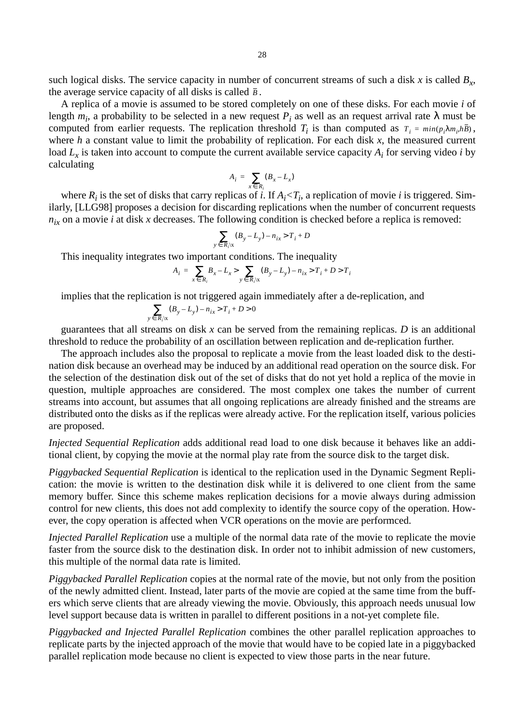such logical disks. The service capacity in number of concurrent streams of such a disk  $x$  is called  $B_x$ , the average service capacity of all disks is called  $\bar{B}$ .

A replica of a movie is assumed to be stored completely on one of these disks. For each movie *i* of length  $m_i$ , a probability to be selected in a new request  $P_i$  as well as an request arrival rate  $\lambda$  must be computed from earlier requests. The replication threshold  $T_i$  is than computed as  $T_i = min(p_i \lambda m_i h \overline{B})$ , where *h* a constant value to limit the probability of replication. For each disk *x*, the measured current load  $L_x$  is taken into account to compute the current available service capacity  $A_i$  for serving video *i* by calculating

$$
A_i = \sum_{x \in R_i} (B_x - L_x)
$$

where  $R_i$  is the set of disks that carry replicas of *i*. If  $A_i < T_i$ , a replication of movie *i* is triggered. Similarly, [\[LLG98\]](#page-42-0) proposes a decision for discarding replications when the number of concurrent requests  $n_{ix}$  on a movie *i* at disk *x* decreases. The following condition is checked before a replica is removed:

$$
\sum_{y \in R_i \setminus \mathbf{X}} (B_y - L_y) - n_{ix} > T_i + D
$$

This inequality integrates two important conditions. The inequality

$$
A_i = \sum_{x \in R_i} B_x - L_x > \sum_{y \in R_i \setminus x} (B_y - L_y) - n_{ix} > T_i + D > T_i
$$

implies that the replication is not triggered again immediately after a de-replication, and

$$
\sum_{y \in R_i \setminus X} (B_y - L_y) - n_{ix} > T_i + D > 0
$$

guarantees that all streams on disk *x* can be served from the remaining replicas. *D* is an additional threshold to reduce the probability of an oscillation between replication and de-replication further.

The approach includes also the proposal to replicate a movie from the least loaded disk to the destination disk because an overhead may be induced by an additional read operation on the source disk. For the selection of the destination disk out of the set of disks that do not yet hold a replica of the movie in question, multiple approaches are considered. The most complex one takes the number of current streams into account, but assumes that all ongoing replications are already finished and the streams are distributed onto the disks as if the replicas were already active. For the replication itself, various policies are proposed.

*Injected Sequential Replication* adds additional read load to one disk because it behaves like an additional client, by copying the movie at the normal play rate from the source disk to the target disk.

*Piggybacked Sequential Replication* is identical to the replication used in the Dynamic Segment Replication: the movie is written to the destination disk while it is delivered to one client from the same memory buffer. Since this scheme makes replication decisions for a movie always during admission control for new clients, this does not add complexity to identify the source copy of the operation. However, the copy operation is affected when VCR operations on the movie are performced.

*Injected Parallel Replication* use a multiple of the normal data rate of the movie to replicate the movie faster from the source disk to the destination disk. In order not to inhibit admission of new customers, this multiple of the normal data rate is limited.

*Piggybacked Parallel Replication* copies at the normal rate of the movie, but not only from the position of the newly admitted client. Instead, later parts of the movie are copied at the same time from the buffers which serve clients that are already viewing the movie. Obviously, this approach needs unusual low level support because data is written in parallel to different positions in a not-yet complete file.

*Piggybacked and Injected Parallel Replication* combines the other parallel replication approaches to replicate parts by the injected approach of the movie that would have to be copied late in a piggybacked parallel replication mode because no client is expected to view those parts in the near future.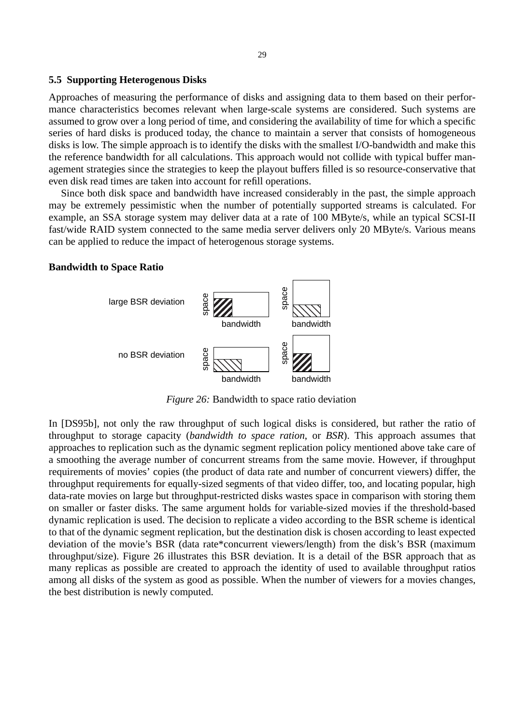#### <span id="page-30-0"></span>**5.5 Supporting Heterogenous Disks**

Approaches of measuring the performance of disks and assigning data to them based on their performance characteristics becomes relevant when large-scale systems are considered. Such systems are assumed to grow over a long period of time, and considering the availability of time for which a specific series of hard disks is produced today, the chance to maintain a server that consists of homogeneous disks is low. The simple approach is to identify the disks with the smallest I/O-bandwidth and make this the reference bandwidth for all calculations. This approach would not collide with typical buffer management strategies since the strategies to keep the playout buffers filled is so resource-conservative that even disk read times are taken into account for refill operations.

Since both disk space and bandwidth have increased considerably in the past, the simple approach may be extremely pessimistic when the number of potentially supported streams is calculated. For example, an SSA storage system may deliver data at a rate of 100 MByte/s, while an typical SCSI-II fast/wide RAID system connected to the same media server delivers only 20 MByte/s. Various means can be applied to reduce the impact of heterogenous storage systems.

#### space bandwidth space bandwidth space bandwidth space bandwidth large BSR deviation no BSR deviation

#### **Bandwidth to Space Ratio**

*Figure 26:* Bandwidth to space ratio deviation

In [\[DS95b\],](#page-41-0) not only the raw throughput of such logical disks is considered, but rather the ratio of throughput to storage capacity (*bandwidth to space ration*, or *BSR*). This approach assumes that approaches to replication such as the dynamic segment replication policy mentioned above take care of a smoothing the average number of concurrent streams from the same movie. However, if throughput requirements of movies' copies (the product of data rate and number of concurrent viewers) differ, the throughput requirements for equally-sized segments of that video differ, too, and locating popular, high data-rate movies on large but throughput-restricted disks wastes space in comparison with storing them on smaller or faster disks. The same argument holds for variable-sized movies if the threshold-based dynamic replication is used. The decision to replicate a video according to the BSR scheme is identical to that of the dynamic segment replication, but the destination disk is chosen according to least expected deviation of the movie's BSR (data rate\*concurrent viewers/length) from the disk's BSR (maximum throughput/size). Figure 26 illustrates this BSR deviation. It is a detail of the BSR approach that as many replicas as possible are created to approach the identity of used to available throughput ratios among all disks of the system as good as possible. When the number of viewers for a movies changes, the best distribution is newly computed.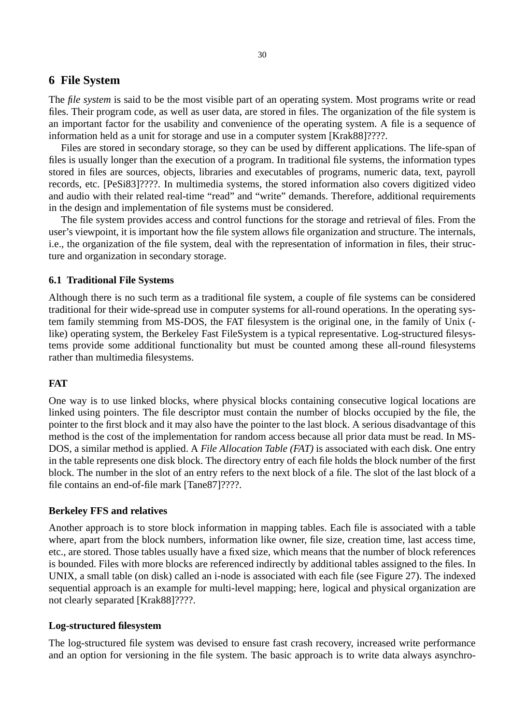# <span id="page-31-0"></span>**6 File System**

The *file system* is said to be the most visible part of an operating system. Most programs write or read files. Their program code, as well as user data, are stored in files. The organization of the file system is an important factor for the usability and convenience of the operating system. A file is a sequence of information held as a unit for storage and use in a computer system [Krak88]????.

Files are stored in secondary storage, so they can be used by different applications. The life-span of files is usually longer than the execution of a program. In traditional file systems, the information types stored in files are sources, objects, libraries and executables of programs, numeric data, text, payroll records, etc. [PeSi83]????. In multimedia systems, the stored information also covers digitized video and audio with their related real-time "read" and "write" demands. Therefore, additional requirements in the design and implementation of file systems must be considered.

The file system provides access and control functions for the storage and retrieval of files. From the user's viewpoint, it is important how the file system allows file organization and structure. The internals, i.e., the organization of the file system, deal with the representation of information in files, their structure and organization in secondary storage.

#### **6.1 Traditional File Systems**

Although there is no such term as a traditional file system, a couple of file systems can be considered traditional for their wide-spread use in computer systems for all-round operations. In the operating system family stemming from MS-DOS, the FAT filesystem is the original one, in the family of Unix ( like) operating system, the Berkeley Fast FileSystem is a typical representative. Log-structured filesystems provide some additional functionality but must be counted among these all-round filesystems rather than multimedia filesystems.

#### **FAT**

One way is to use linked blocks, where physical blocks containing consecutive logical locations are linked using pointers. The file descriptor must contain the number of blocks occupied by the file, the pointer to the first block and it may also have the pointer to the last block. A serious disadvantage of this method is the cost of the implementation for random access because all prior data must be read. In MS-DOS, a similar method is applied. A *File Allocation Table (FAT)* is associated with each disk. One entry in the table represents one disk block. The directory entry of each file holds the block number of the first block. The number in the slot of an entry refers to the next block of a file. The slot of the last block of a file contains an end-of-file mark [Tane87]????.

#### **Berkeley FFS and relatives**

Another approach is to store block information in mapping tables. Each file is associated with a table where, apart from the block numbers, information like owner, file size, creation time, last access time, etc., are stored. Those tables usually have a fixed size, which means that the number of block references is bounded. Files with more blocks are referenced indirectly by additional tables assigned to the files. In UNIX, a small table (on disk) called an i-node is associated with each file (see [Figure 27\)](#page-32-0). The indexed sequential approach is an example for multi-level mapping; here, logical and physical organization are not clearly separated [Krak88]????.

#### **Log-structured filesystem**

The log-structured file system was devised to ensure fast crash recovery, increased write performance and an option for versioning in the file system. The basic approach is to write data always asynchro-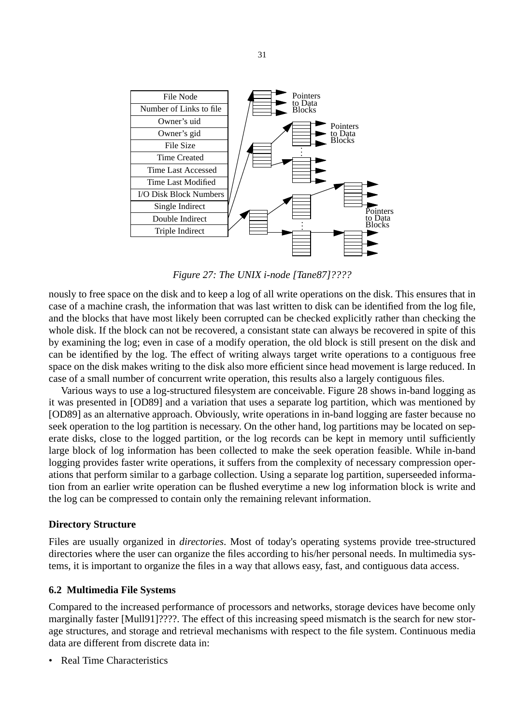<span id="page-32-0"></span>

*Figure 27: The UNIX i-node [Tane87]????*

nously to free space on the disk and to keep a log of all write operations on the disk. This ensures that in case of a machine crash, the information that was last written to disk can be identified from the log file, and the blocks that have most likely been corrupted can be checked explicitly rather than checking the whole disk. If the block can not be recovered, a consistant state can always be recovered in spite of this by examining the log; even in case of a modify operation, the old block is still present on the disk and can be identified by the log. The effect of writing always target write operations to a contiguous free space on the disk makes writing to the disk also more efficient since head movement is large reduced. In case of a small number of concurrent write operation, this results also a largely contiguous files.

Various ways to use a log-structured filesystem are conceivable. [Figure 28](#page-33-0) shows in-band logging as it was presented in [\[OD89\]](#page-42-0) and a variation that uses a separate log partition, which was mentioned by [\[OD89\]](#page-42-0) as an alternative approach. Obviously, write operations in in-band logging are faster because no seek operation to the log partition is necessary. On the other hand, log partitions may be located on seperate disks, close to the logged partition, or the log records can be kept in memory until sufficiently large block of log information has been collected to make the seek operation feasible. While in-band logging provides faster write operations, it suffers from the complexity of necessary compression operations that perform similar to a garbage collection. Using a separate log partition, superseeded information from an earlier write operation can be flushed everytime a new log information block is write and the log can be compressed to contain only the remaining relevant information.

#### **Directory Structure**

Files are usually organized in *directories*. Most of today's operating systems provide tree-structured directories where the user can organize the files according to his/her personal needs. In multimedia systems, it is important to organize the files in a way that allows easy, fast, and contiguous data access.

### **6.2 Multimedia File Systems**

Compared to the increased performance of processors and networks, storage devices have become only marginally faster [Mull91]????. The effect of this increasing speed mismatch is the search for new storage structures, and storage and retrieval mechanisms with respect to the file system. Continuous media data are different from discrete data in:

• Real Time Characteristics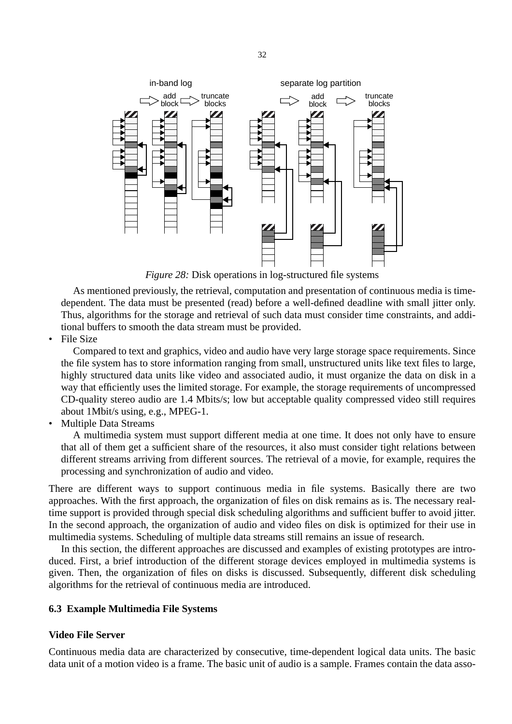<span id="page-33-0"></span>

*Figure 28:* Disk operations in log-structured file systems

As mentioned previously, the retrieval, computation and presentation of continuous media is timedependent. The data must be presented (read) before a well-defined deadline with small jitter only. Thus, algorithms for the storage and retrieval of such data must consider time constraints, and additional buffers to smooth the data stream must be provided.

• File Size

Compared to text and graphics, video and audio have very large storage space requirements. Since the file system has to store information ranging from small, unstructured units like text files to large, highly structured data units like video and associated audio, it must organize the data on disk in a way that efficiently uses the limited storage. For example, the storage requirements of uncompressed CD-quality stereo audio are 1.4 Mbits/s; low but acceptable quality compressed video still requires about 1Mbit/s using, e.g., MPEG-1.

• Multiple Data Streams

A multimedia system must support different media at one time. It does not only have to ensure that all of them get a sufficient share of the resources, it also must consider tight relations between different streams arriving from different sources. The retrieval of a movie, for example, requires the processing and synchronization of audio and video.

There are different ways to support continuous media in file systems. Basically there are two approaches. With the first approach, the organization of files on disk remains as is. The necessary realtime support is provided through special disk scheduling algorithms and sufficient buffer to avoid jitter. In the second approach, the organization of audio and video files on disk is optimized for their use in multimedia systems. Scheduling of multiple data streams still remains an issue of research.

In this section, the different approaches are discussed and examples of existing prototypes are introduced. First, a brief introduction of the different storage devices employed in multimedia systems is given. Then, the organization of files on disks is discussed. Subsequently, different disk scheduling algorithms for the retrieval of continuous media are introduced.

### **6.3 Example Multimedia File Systems**

### **Video File Server**

Continuous media data are characterized by consecutive, time-dependent logical data units. The basic data unit of a motion video is a frame. The basic unit of audio is a sample. Frames contain the data asso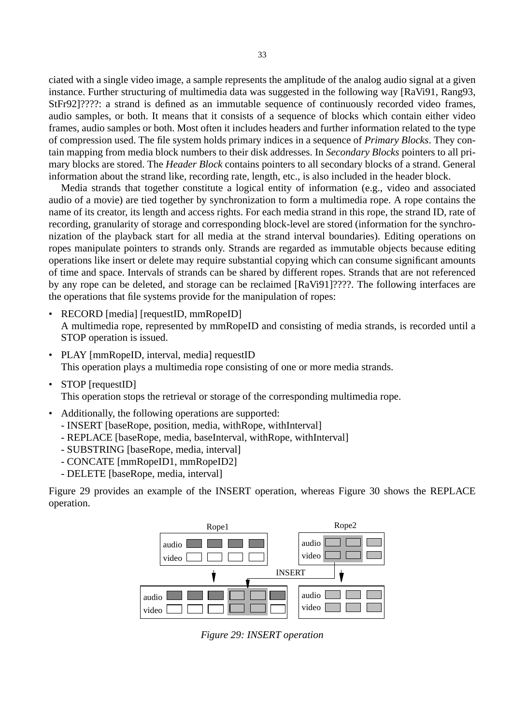ciated with a single video image, a sample represents the amplitude of the analog audio signal at a given instance. Further structuring of multimedia data was suggested in the following way [RaVi91, Rang93, StFr92]????: a strand is defined as an immutable sequence of continuously recorded video frames, audio samples, or both. It means that it consists of a sequence of blocks which contain either video frames, audio samples or both. Most often it includes headers and further information related to the type of compression used. The file system holds primary indices in a sequence of *Primary Blocks*. They contain mapping from media block numbers to their disk addresses. In *Secondary Blocks* pointers to all primary blocks are stored. The *Header Block* contains pointers to all secondary blocks of a strand. General information about the strand like, recording rate, length, etc., is also included in the header block.

Media strands that together constitute a logical entity of information (e.g., video and associated audio of a movie) are tied together by synchronization to form a multimedia rope. A rope contains the name of its creator, its length and access rights. For each media strand in this rope, the strand ID, rate of recording, granularity of storage and corresponding block-level are stored (information for the synchronization of the playback start for all media at the strand interval boundaries). Editing operations on ropes manipulate pointers to strands only. Strands are regarded as immutable objects because editing operations like insert or delete may require substantial copying which can consume significant amounts of time and space. Intervals of strands can be shared by different ropes. Strands that are not referenced by any rope can be deleted, and storage can be reclaimed [RaVi91]????. The following interfaces are the operations that file systems provide for the manipulation of ropes:

- RECORD [media] [requestID, mmRopeID] A multimedia rope, represented by mmRopeID and consisting of media strands, is recorded until a STOP operation is issued.
- PLAY [mmRopeID, interval, media] requestID This operation plays a multimedia rope consisting of one or more media strands.
- STOP [requestID] This operation stops the retrieval or storage of the corresponding multimedia rope.
- Additionally, the following operations are supported:
	- INSERT [baseRope, position, media, withRope, withInterval]
	- REPLACE [baseRope, media, baseInterval, withRope, withInterval]
	- SUBSTRING [baseRope, media, interval]
	- CONCATE [mmRopeID1, mmRopeID2]
	- DELETE [baseRope, media, interval]

Figure 29 provides an example of the INSERT operation, whereas [Figure 30](#page-35-0) shows the REPLACE operation.



*Figure 29: INSERT operation*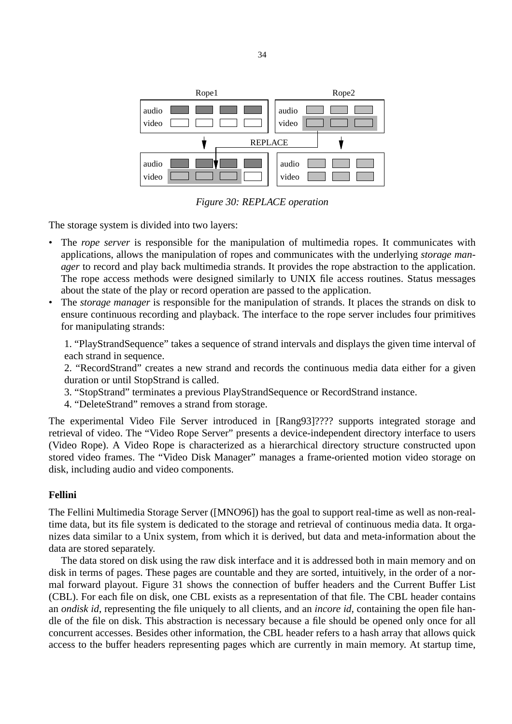<span id="page-35-0"></span>

*Figure 30: REPLACE operation*

The storage system is divided into two layers:

- The *rope server* is responsible for the manipulation of multimedia ropes. It communicates with applications, allows the manipulation of ropes and communicates with the underlying *storage manager* to record and play back multimedia strands. It provides the rope abstraction to the application. The rope access methods were designed similarly to UNIX file access routines. Status messages about the state of the play or record operation are passed to the application.
- The *storage manager* is responsible for the manipulation of strands. It places the strands on disk to ensure continuous recording and playback. The interface to the rope server includes four primitives for manipulating strands:

1. "PlayStrandSequence" takes a sequence of strand intervals and displays the given time interval of each strand in sequence.

2. "RecordStrand" creates a new strand and records the continuous media data either for a given duration or until StopStrand is called.

- 3. "StopStrand" terminates a previous PlayStrandSequence or RecordStrand instance.
- 4. "DeleteStrand" removes a strand from storage.

The experimental Video File Server introduced in [Rang93]???? supports integrated storage and retrieval of video. The "Video Rope Server" presents a device-independent directory interface to users (Video Rope). A Video Rope is characterized as a hierarchical directory structure constructed upon stored video frames. The "Video Disk Manager" manages a frame-oriented motion video storage on disk, including audio and video components.

#### **Fellini**

The Fellini Multimedia Storage Server [\(\[MNO96](#page-42-0)]) has the goal to support real-time as well as non-realtime data, but its file system is dedicated to the storage and retrieval of continuous media data. It organizes data similar to a Unix system, from which it is derived, but data and meta-information about the data are stored separately.

The data stored on disk using the raw disk interface and it is addressed both in main memory and on disk in terms of pages. These pages are countable and they are sorted, intuitively, in the order of a normal forward playout. [Figure 31](#page-36-0) shows the connection of buffer headers and the Current Buffer List (CBL). For each file on disk, one CBL exists as a representation of that file. The CBL header contains an *ondisk id*, representing the file uniquely to all clients, and an *incore id*, containing the open file handle of the file on disk. This abstraction is necessary because a file should be opened only once for all concurrent accesses. Besides other information, the CBL header refers to a hash array that allows quick access to the buffer headers representing pages which are currently in main memory. At startup time,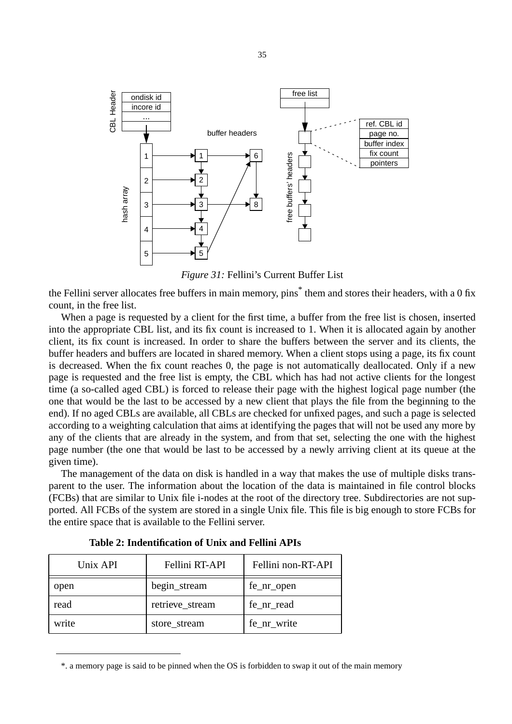

*Figure 31:* Fellini's Current Buffer List

the Fellini server allocates free buffers in main memory, pins\* them and stores their headers, with a 0 fix count, in the free list.

<span id="page-36-0"></span>When a page is requested by a client for the first time, a buffer from the free list is chosen, inserted into the appropriate CBL list, and its fix count is increased to 1. When it is allocated again by another client, its fix count is increased. In order to share the buffers between the server and its clients, the buffer headers and buffers are located in shared memory. When a client stops using a page, its fix count is decreased. When the fix count reaches 0, the page is not automatically deallocated. Only if a new page is requested and the free list is empty, the CBL which has had not active clients for the longest time (a so-called aged CBL) is forced to release their page with the highest logical page number (the one that would be the last to be accessed by a new client that plays the file from the beginning to the end). If no aged CBLs are available, all CBLs are checked for unfixed pages, and such a page is selected according to a weighting calculation that aims at identifying the pages that will not be used any more by any of the clients that are already in the system, and from that set, selecting the one with the highest page number (the one that would be last to be accessed by a newly arriving client at its queue at the given time). Fraction of the distance of the distance of the RIM (Figure 31: Fellini server and the particle store and the particle of the particle contribution of the central of the central of the central of the central of the centra

The management of the data on disk is handled in a way that makes the use of multiple disks transparent to the user. The information about the location of the data is maintained in file control blocks (FCBs) that are similar to Unix file i-nodes at the root of the directory tree. Subdirectories are not supported. All FCBs of the system are stored in a single Unix file. This file is big enough to store FCBs for the entire space that is available to the Fellini server.

| Unix API | Fellini RT-API  | Fellini non-RT-API |
|----------|-----------------|--------------------|
| open     | begin_stream    | fe_nr_open         |
| read     | retrieve stream | fe_nr_read         |
| write    | store_stream    | fe_nr_write        |

| Table 2: Indentification of Unix and Fellini APIs |  |  |
|---------------------------------------------------|--|--|
|---------------------------------------------------|--|--|

<sup>\*.</sup> a memory page is said to be pinned when the OS is forbidden to swap it out of the main memory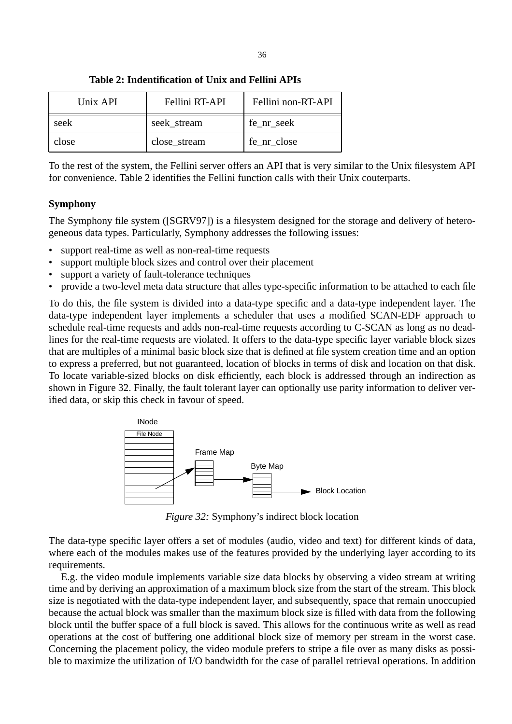| Unix API | Fellini RT-API | Fellini non-RT-API |
|----------|----------------|--------------------|
| seek     | seek stream    | fe nr seek         |
| close    | close stream   | fe_nr_close        |

**Table 2: Indentification of Unix and Fellini APIs**

To the rest of the system, the Fellini server offers an API that is very similar to the Unix filesystem API for convenience. [Table 2](#page-36-0) identifies the Fellini function calls with their Unix couterparts.

## **Symphony**

The Symphony file system [\(\[SGRV97\]\)](#page-42-0) is a filesystem designed for the storage and delivery of heterogeneous data types. Particularly, Symphony addresses the following issues:

- support real-time as well as non-real-time requests
- support multiple block sizes and control over their placement
- support a variety of fault-tolerance techniques
- provide a two-level meta data structure that alles type-specific information to be attached to each file

To do this, the file system is divided into a data-type specific and a data-type independent layer. The data-type independent layer implements a scheduler that uses a modified SCAN-EDF approach to schedule real-time requests and adds non-real-time requests according to C-SCAN as long as no deadlines for the real-time requests are violated. It offers to the data-type specific layer variable block sizes that are multiples of a minimal basic block size that is defined at file system creation time and an option to express a preferred, but not guaranteed, location of blocks in terms of disk and location on that disk. To locate variable-sized blocks on disk efficiently, each block is addressed through an indirection as shown in Figure 32. Finally, the fault tolerant layer can optionally use parity information to deliver verified data, or skip this check in favour of speed.



*Figure 32:* Symphony's indirect block location

The data-type specific layer offers a set of modules (audio, video and text) for different kinds of data, where each of the modules makes use of the features provided by the underlying layer according to its requirements.

E.g. the video module implements variable size data blocks by observing a video stream at writing time and by deriving an approximation of a maximum block size from the start of the stream. This block size is negotiated with the data-type independent layer, and subsequently, space that remain unoccupied because the actual block was smaller than the maximum block size is filled with data from the following block until the buffer space of a full block is saved. This allows for the continuous write as well as read operations at the cost of buffering one additional block size of memory per stream in the worst case. Concerning the placement policy, the video module prefers to stripe a file over as many disks as possible to maximize the utilization of I/O bandwidth for the case of parallel retrieval operations. In addition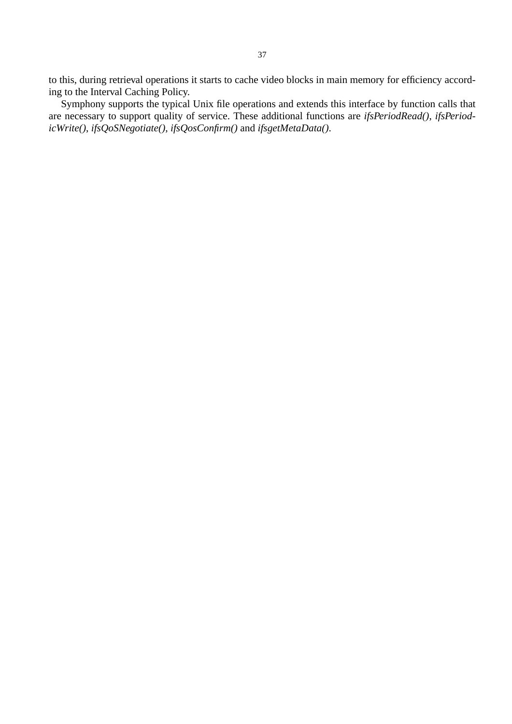to this, during retrieval operations it starts to cache video blocks in main memory for efficiency according to the Interval Caching Policy.

Symphony supports the typical Unix file operations and extends this interface by function calls that are necessary to support quality of service. These additional functions are *ifsPeriodRead()*, *ifsPeriodicWrite()*, *ifsQoSNegotiate()*, *ifsQosConfirm()* and *ifsgetMetaData()*.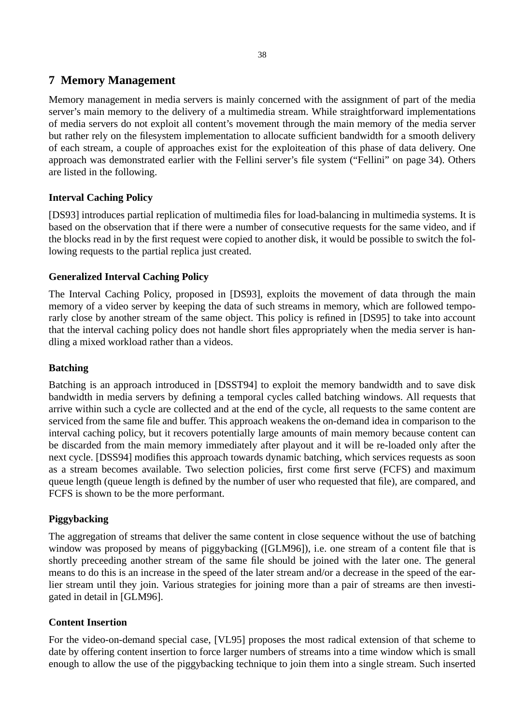# <span id="page-39-0"></span>**7 Memory Management**

Memory management in media servers is mainly concerned with the assignment of part of the media server's main memory to the delivery of a multimedia stream. While straightforward implementations of media servers do not exploit all content's movement through the main memory of the media server but rather rely on the filesystem implementation to allocate sufficient bandwidth for a smooth delivery of each stream, a couple of approaches exist for the exploiteation of this phase of data delivery. One approach was demonstrated earlier with the Fellini server's file system [\("Fellini" on page 34](#page-35-0)). Others are listed in the following.

# **Interval Caching Policy**

[\[DS93\] i](#page-41-0)ntroduces partial replication of multimedia files for load-balancing in multimedia systems. It is based on the observation that if there were a number of consecutive requests for the same video, and if the blocks read in by the first request were copied to another disk, it would be possible to switch the following requests to the partial replica just created.

# **Generalized Interval Caching Policy**

The Interval Caching Policy, proposed in [\[DS93\],](#page-41-0) exploits the movement of data through the main memory of a video server by keeping the data of such streams in memory, which are followed temporarly close by another stream of the same object. This policy is refined in [\[DS95\]](#page-41-0) to take into account that the interval caching policy does not handle short files appropriately when the media server is handling a mixed workload rather than a videos.

# **Batching**

Batching is an approach introduced in [\[DSST94\]](#page-41-0) to exploit the memory bandwidth and to save disk bandwidth in media servers by defining a temporal cycles called batching windows. All requests that arrive within such a cycle are collected and at the end of the cycle, all requests to the same content are serviced from the same file and buffer. This approach weakens the on-demand idea in comparison to the interval caching policy, but it recovers potentially large amounts of main memory because content can be discarded from the main memory immediately after playout and it will be re-loaded only after the next cycle. [\[DSS94\]](#page-41-0) modifies this approach towards dynamic batching, which services requests as soon as a stream becomes available. Two selection policies, first come first serve (FCFS) and maximum queue length (queue length is defined by the number of user who requested that file), are compared, and FCFS is shown to be the more performant.

# **Piggybacking**

The aggregation of streams that deliver the same content in close sequence without the use of batching window was proposed by means of piggybacking [\(\[GLM96\]\)](#page-41-0), i.e. one stream of a content file that is shortly preceeding another stream of the same file should be joined with the later one. The general means to do this is an increase in the speed of the later stream and/or a decrease in the speed of the earlier stream until they join. Various strategies for joining more than a pair of streams are then investigated in detail in [\[GLM96\].](#page-41-0)

# **Content Insertion**

For the video-on-demand special case, [\[VL95\]](#page-43-0) proposes the most radical extension of that scheme to date by offering content insertion to force larger numbers of streams into a time window which is small enough to allow the use of the piggybacking technique to join them into a single stream. Such inserted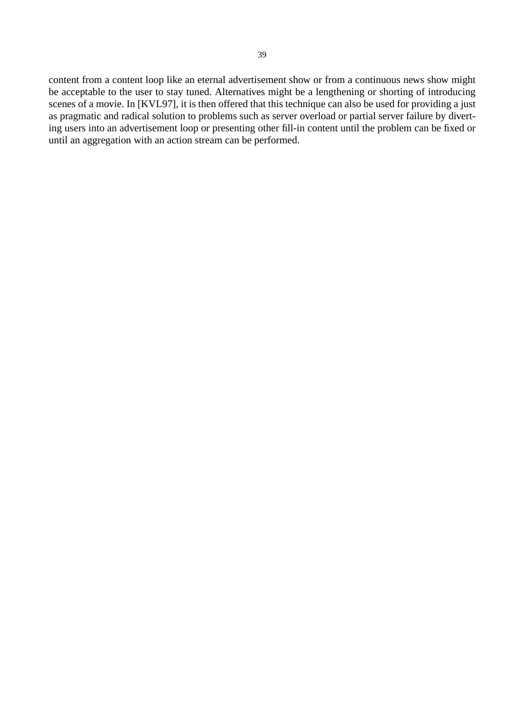content from a content loop like an eternal advertisement show or from a continuous news show might be acceptable to the user to stay tuned. Alternatives might be a lengthening or shorting of introducing scenes of a movie. In [\[KVL97\],](#page-42-0) it is then offered that this technique can also be used for providing a just as pragmatic and radical solution to problems such as server overload or partial server failure by diverting users into an advertisement loop or presenting other fill-in content until the problem can be fixed or until an aggregation with an action stream can be performed.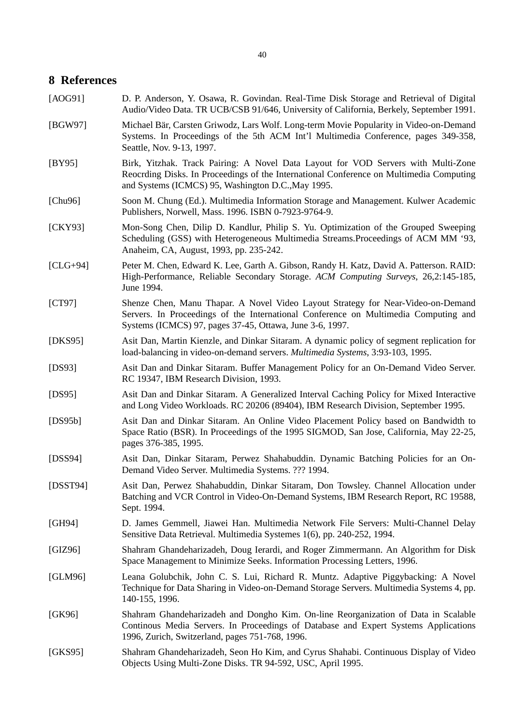# <span id="page-41-0"></span>**8 References**

- [AOG91] D. P. Anderson, Y. Osawa, R. Govindan. Real-Time Disk Storage and Retrieval of Digital Audio/Video Data. TR UCB/CSB 91/646, University of California, Berkely, September 1991.
- [BGW97] Michael Bär, Carsten Griwodz, Lars Wolf. Long-term Movie Popularity in Video-on-Demand Systems. In Proceedings of the 5th ACM Int'l Multimedia Conference, pages 349-358, Seattle, Nov. 9-13, 1997.
- [BY95] Birk, Yitzhak. Track Pairing: A Novel Data Layout for VOD Servers with Multi-Zone Reocrding Disks. In Proceedings of the International Conference on Multimedia Computing and Systems (ICMCS) 95, Washington D.C.,May 1995.
- [Chu96] Soon M. Chung (Ed.). Multimedia Information Storage and Management. Kulwer Academic Publishers, Norwell, Mass. 1996. ISBN 0-7923-9764-9.
- [CKY93] Mon-Song Chen, Dilip D. Kandlur, Philip S. Yu. Optimization of the Grouped Sweeping Scheduling (GSS) with Heterogeneous Multimedia Streams.Proceedings of ACM MM '93, Anaheim, CA, August, 1993, pp. 235-242.
- [CLG+94] Peter M. Chen, Edward K. Lee, Garth A. Gibson, Randy H. Katz, David A. Patterson. RAID: High-Performance, Reliable Secondary Storage. *ACM Computing Surveys*, 26,2:145-185, June 1994.
- [CT97] Shenze Chen, Manu Thapar. A Novel Video Layout Strategy for Near-Video-on-Demand Servers. In Proceedings of the International Conference on Multimedia Computing and Systems (ICMCS) 97, pages 37-45, Ottawa, June 3-6, 1997.
- [DKS95] Asit Dan, Martin Kienzle, and Dinkar Sitaram. A dynamic policy of segment replication for load-balancing in video-on-demand servers. *Multimedia Systems*, 3:93-103, 1995.
- [DS93] Asit Dan and Dinkar Sitaram. Buffer Management Policy for an On-Demand Video Server. RC 19347, IBM Research Division, 1993.
- [DS95] Asit Dan and Dinkar Sitaram. A Generalized Interval Caching Policy for Mixed Interactive and Long Video Workloads. RC 20206 (89404), IBM Research Division, September 1995.
- [DS95b] Asit Dan and Dinkar Sitaram. An Online Video Placement Policy based on Bandwidth to Space Ratio (BSR). In Proceedings of the 1995 SIGMOD, San Jose, California, May 22-25, pages 376-385, 1995.
- [DSS94] Asit Dan, Dinkar Sitaram, Perwez Shahabuddin. Dynamic Batching Policies for an On-Demand Video Server. Multimedia Systems. ??? 1994.
- [DSST94] Asit Dan, Perwez Shahabuddin, Dinkar Sitaram, Don Towsley. Channel Allocation under Batching and VCR Control in Video-On-Demand Systems, IBM Research Report, RC 19588, Sept. 1994.
- [GH94] D. James Gemmell, Jiawei Han. Multimedia Network File Servers: Multi-Channel Delay Sensitive Data Retrieval. Multimedia Systemes 1(6), pp. 240-252, 1994.
- [GIZ96] Shahram Ghandeharizadeh, Doug Ierardi, and Roger Zimmermann. An Algorithm for Disk Space Management to Minimize Seeks. Information Processing Letters, 1996.
- [GLM96] Leana Golubchik, John C. S. Lui, Richard R. Muntz. Adaptive Piggybacking: A Novel Technique for Data Sharing in Video-on-Demand Storage Servers. Multimedia Systems 4, pp. 140-155, 1996.
- [GK96] Shahram Ghandeharizadeh and Dongho Kim. On-line Reorganization of Data in Scalable Continous Media Servers. In Proceedings of Database and Expert Systems Applications 1996, Zurich, Switzerland, pages 751-768, 1996.
- [GKS95] Shahram Ghandeharizadeh, Seon Ho Kim, and Cyrus Shahabi. Continuous Display of Video Objects Using Multi-Zone Disks. TR 94-592, USC, April 1995.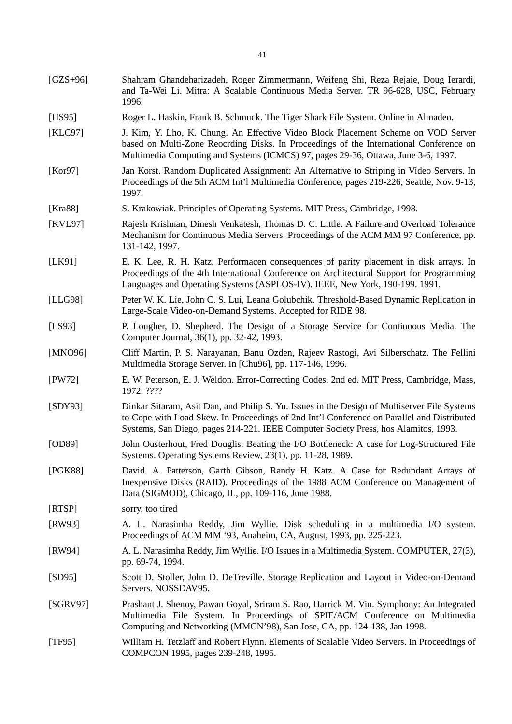<span id="page-42-0"></span>

| $[GZS+96]$  | Shahram Ghandeharizadeh, Roger Zimmermann, Weifeng Shi, Reza Rejaie, Doug Ierardi,<br>and Ta-Wei Li. Mitra: A Scalable Continuous Media Server. TR 96-628, USC, February<br>1996.                                                                                                 |
|-------------|-----------------------------------------------------------------------------------------------------------------------------------------------------------------------------------------------------------------------------------------------------------------------------------|
| [HS95]      | Roger L. Haskin, Frank B. Schmuck. The Tiger Shark File System. Online in Almaden.                                                                                                                                                                                                |
| [KLC97]     | J. Kim, Y. Lho, K. Chung. An Effective Video Block Placement Scheme on VOD Server<br>based on Multi-Zone Reocrding Disks. In Proceedings of the International Conference on<br>Multimedia Computing and Systems (ICMCS) 97, pages 29-36, Ottawa, June 3-6, 1997.                  |
| [ $Kor97$ ] | Jan Korst. Random Duplicated Assignment: An Alternative to Striping in Video Servers. In<br>Proceedings of the 5th ACM Int'l Multimedia Conference, pages 219-226, Seattle, Nov. 9-13,<br>1997.                                                                                   |
| [ $Kra88$ ] | S. Krakowiak. Principles of Operating Systems. MIT Press, Cambridge, 1998.                                                                                                                                                                                                        |
| [KVL97]     | Rajesh Krishnan, Dinesh Venkatesh, Thomas D. C. Little. A Failure and Overload Tolerance<br>Mechanism for Continuous Media Servers. Proceedings of the ACM MM 97 Conference, pp.<br>131-142, 1997.                                                                                |
| [LK91]      | E. K. Lee, R. H. Katz. Performacen consequences of parity placement in disk arrays. In<br>Proceedings of the 4th International Conference on Architectural Support for Programming<br>Languages and Operating Systems (ASPLOS-IV). IEEE, New York, 190-199. 1991.                 |
| [LLG98]     | Peter W. K. Lie, John C. S. Lui, Leana Golubchik. Threshold-Based Dynamic Replication in<br>Large-Scale Video-on-Demand Systems. Accepted for RIDE 98.                                                                                                                            |
| [LS93]      | P. Lougher, D. Shepherd. The Design of a Storage Service for Continuous Media. The<br>Computer Journal, 36(1), pp. 32-42, 1993.                                                                                                                                                   |
| [MNO96]     | Cliff Martin, P. S. Narayanan, Banu Ozden, Rajeev Rastogi, Avi Silberschatz. The Fellini<br>Multimedia Storage Server. In [Chu96], pp. 117-146, 1996.                                                                                                                             |
| [PW72]      | E. W. Peterson, E. J. Weldon. Error-Correcting Codes. 2nd ed. MIT Press, Cambridge, Mass,<br>1972. ????                                                                                                                                                                           |
| [SDY93]     | Dinkar Sitaram, Asit Dan, and Philip S. Yu. Issues in the Design of Multiserver File Systems<br>to Cope with Load Skew. In Proceedings of 2nd Int'l Conference on Parallel and Distributed<br>Systems, San Diego, pages 214-221. IEEE Computer Society Press, hos Alamitos, 1993. |
| [OD89]      | John Ousterhout, Fred Douglis. Beating the I/O Bottleneck: A case for Log-Structured File<br>Systems. Operating Systems Review, 23(1), pp. 11-28, 1989.                                                                                                                           |
| [PGK88]     | David. A. Patterson, Garth Gibson, Randy H. Katz. A Case for Redundant Arrays of<br>Inexpensive Disks (RAID). Proceedings of the 1988 ACM Conference on Management of<br>Data (SIGMOD), Chicago, IL, pp. 109-116, June 1988.                                                      |
| [RTSP]      | sorry, too tired                                                                                                                                                                                                                                                                  |
| [RW93]      | A. L. Narasimha Reddy, Jim Wyllie. Disk scheduling in a multimedia I/O system.<br>Proceedings of ACM MM '93, Anaheim, CA, August, 1993, pp. 225-223.                                                                                                                              |
| [RW94]      | A. L. Narasimha Reddy, Jim Wyllie. I/O Issues in a Multimedia System. COMPUTER, 27(3),<br>pp. 69-74, 1994.                                                                                                                                                                        |
| [SD95]      | Scott D. Stoller, John D. DeTreville. Storage Replication and Layout in Video-on-Demand<br>Servers. NOSSDAV95.                                                                                                                                                                    |
| [SGRV97]    | Prashant J. Shenoy, Pawan Goyal, Sriram S. Rao, Harrick M. Vin. Symphony: An Integrated<br>Multimedia File System. In Proceedings of SPIE/ACM Conference on Multimedia<br>Computing and Networking (MMCN'98), San Jose, CA, pp. 124-138, Jan 1998.                                |
| [TF95]      | William H. Tetzlaff and Robert Flynn. Elements of Scalable Video Servers. In Proceedings of<br>COMPCON 1995, pages 239-248, 1995.                                                                                                                                                 |